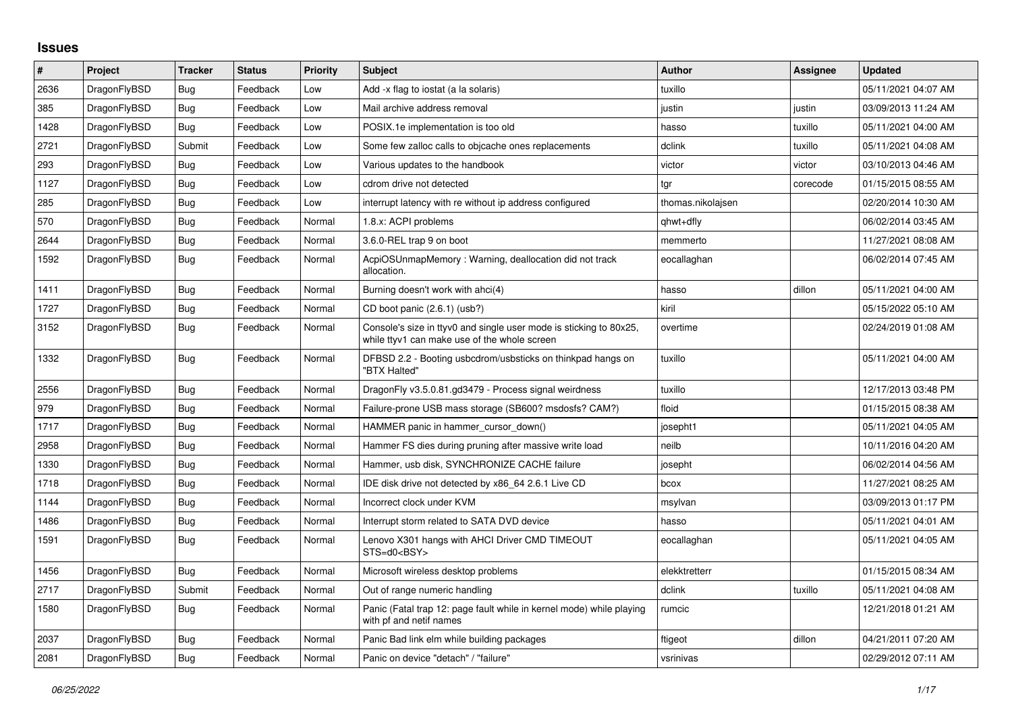## **Issues**

| #    | Project      | <b>Tracker</b> | <b>Status</b> | <b>Priority</b> | <b>Subject</b>                                                                                                     | <b>Author</b>     | Assignee | <b>Updated</b>      |
|------|--------------|----------------|---------------|-----------------|--------------------------------------------------------------------------------------------------------------------|-------------------|----------|---------------------|
| 2636 | DragonFlyBSD | Bug            | Feedback      | Low             | Add -x flag to iostat (a la solaris)                                                                               | tuxillo           |          | 05/11/2021 04:07 AM |
| 385  | DragonFlyBSD | <b>Bug</b>     | Feedback      | Low             | Mail archive address removal                                                                                       | justin            | justin   | 03/09/2013 11:24 AM |
| 1428 | DragonFlyBSD | Bug            | Feedback      | Low             | POSIX.1e implementation is too old                                                                                 | hasso             | tuxillo  | 05/11/2021 04:00 AM |
| 2721 | DragonFlyBSD | Submit         | Feedback      | Low             | Some few zalloc calls to objcache ones replacements                                                                | dclink            | tuxillo  | 05/11/2021 04:08 AM |
| 293  | DragonFlyBSD | Bug            | Feedback      | Low             | Various updates to the handbook                                                                                    | victor            | victor   | 03/10/2013 04:46 AM |
| 1127 | DragonFlyBSD | Bug            | Feedback      | Low             | cdrom drive not detected                                                                                           | tgr               | corecode | 01/15/2015 08:55 AM |
| 285  | DragonFlyBSD | <b>Bug</b>     | Feedback      | Low             | interrupt latency with re without ip address configured                                                            | thomas.nikolaisen |          | 02/20/2014 10:30 AM |
| 570  | DragonFlyBSD | <b>Bug</b>     | Feedback      | Normal          | 1.8.x: ACPI problems                                                                                               | qhwt+dfly         |          | 06/02/2014 03:45 AM |
| 2644 | DragonFlyBSD | Bug            | Feedback      | Normal          | 3.6.0-REL trap 9 on boot                                                                                           | memmerto          |          | 11/27/2021 08:08 AM |
| 1592 | DragonFlyBSD | Bug            | Feedback      | Normal          | AcpiOSUnmapMemory: Warning, deallocation did not track<br>allocation.                                              | eocallaghan       |          | 06/02/2014 07:45 AM |
| 1411 | DragonFlyBSD | Bug            | Feedback      | Normal          | Burning doesn't work with ahci(4)                                                                                  | hasso             | dillon   | 05/11/2021 04:00 AM |
| 1727 | DragonFlyBSD | Bug            | Feedback      | Normal          | CD boot panic (2.6.1) (usb?)                                                                                       | kiril             |          | 05/15/2022 05:10 AM |
| 3152 | DragonFlyBSD | Bug            | Feedback      | Normal          | Console's size in ttyv0 and single user mode is sticking to 80x25,<br>while ttyv1 can make use of the whole screen | overtime          |          | 02/24/2019 01:08 AM |
| 1332 | DragonFlyBSD | Bug            | Feedback      | Normal          | DFBSD 2.2 - Booting usbcdrom/usbsticks on thinkpad hangs on<br>"BTX Halted"                                        | tuxillo           |          | 05/11/2021 04:00 AM |
| 2556 | DragonFlyBSD | <b>Bug</b>     | Feedback      | Normal          | DragonFly v3.5.0.81.gd3479 - Process signal weirdness                                                              | tuxillo           |          | 12/17/2013 03:48 PM |
| 979  | DragonFlyBSD | Bug            | Feedback      | Normal          | Failure-prone USB mass storage (SB600? msdosfs? CAM?)                                                              | floid             |          | 01/15/2015 08:38 AM |
| 1717 | DragonFlyBSD | <b>Bug</b>     | Feedback      | Normal          | HAMMER panic in hammer cursor down()                                                                               | josepht1          |          | 05/11/2021 04:05 AM |
| 2958 | DragonFlyBSD | Bug            | Feedback      | Normal          | Hammer FS dies during pruning after massive write load                                                             | neilb             |          | 10/11/2016 04:20 AM |
| 1330 | DragonFlyBSD | Bug            | Feedback      | Normal          | Hammer, usb disk, SYNCHRONIZE CACHE failure                                                                        | josepht           |          | 06/02/2014 04:56 AM |
| 1718 | DragonFlyBSD | <b>Bug</b>     | Feedback      | Normal          | IDE disk drive not detected by x86 64 2.6.1 Live CD                                                                | bcox              |          | 11/27/2021 08:25 AM |
| 1144 | DragonFlyBSD | Bug            | Feedback      | Normal          | Incorrect clock under KVM                                                                                          | msylvan           |          | 03/09/2013 01:17 PM |
| 1486 | DragonFlyBSD | Bug            | Feedback      | Normal          | Interrupt storm related to SATA DVD device                                                                         | hasso             |          | 05/11/2021 04:01 AM |
| 1591 | DragonFlyBSD | Bug            | Feedback      | Normal          | Lenovo X301 hangs with AHCI Driver CMD TIMEOUT<br>STS=d0 <bsy></bsy>                                               | eocallaghan       |          | 05/11/2021 04:05 AM |
| 1456 | DragonFlyBSD | Bug            | Feedback      | Normal          | Microsoft wireless desktop problems                                                                                | elekktretterr     |          | 01/15/2015 08:34 AM |
| 2717 | DragonFlyBSD | Submit         | Feedback      | Normal          | Out of range numeric handling                                                                                      | dclink            | tuxillo  | 05/11/2021 04:08 AM |
| 1580 | DragonFlyBSD | Bug            | Feedback      | Normal          | Panic (Fatal trap 12: page fault while in kernel mode) while playing<br>with pf and netif names                    | rumcic            |          | 12/21/2018 01:21 AM |
| 2037 | DragonFlyBSD | Bug            | Feedback      | Normal          | Panic Bad link elm while building packages                                                                         | ftigeot           | dillon   | 04/21/2011 07:20 AM |
| 2081 | DragonFlyBSD | Bug            | Feedback      | Normal          | Panic on device "detach" / "failure"                                                                               | vsrinivas         |          | 02/29/2012 07:11 AM |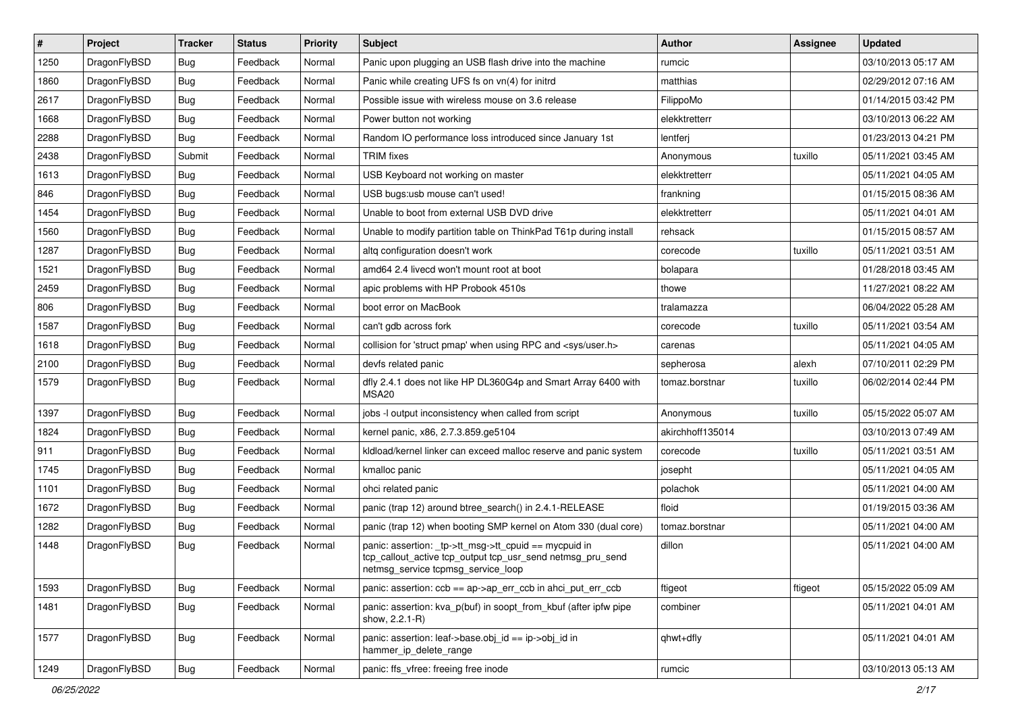| $\vert$ # | Project      | <b>Tracker</b> | <b>Status</b> | <b>Priority</b> | Subject                                                                                                                                                   | <b>Author</b>    | Assignee | <b>Updated</b>      |
|-----------|--------------|----------------|---------------|-----------------|-----------------------------------------------------------------------------------------------------------------------------------------------------------|------------------|----------|---------------------|
| 1250      | DragonFlyBSD | Bug            | Feedback      | Normal          | Panic upon plugging an USB flash drive into the machine                                                                                                   | rumcic           |          | 03/10/2013 05:17 AM |
| 1860      | DragonFlyBSD | Bug            | Feedback      | Normal          | Panic while creating UFS fs on vn(4) for initrd                                                                                                           | matthias         |          | 02/29/2012 07:16 AM |
| 2617      | DragonFlyBSD | <b>Bug</b>     | Feedback      | Normal          | Possible issue with wireless mouse on 3.6 release                                                                                                         | FilippoMo        |          | 01/14/2015 03:42 PM |
| 1668      | DragonFlyBSD | <b>Bug</b>     | Feedback      | Normal          | Power button not working                                                                                                                                  | elekktretterr    |          | 03/10/2013 06:22 AM |
| 2288      | DragonFlyBSD | Bug            | Feedback      | Normal          | Random IO performance loss introduced since January 1st                                                                                                   | lentferj         |          | 01/23/2013 04:21 PM |
| 2438      | DragonFlyBSD | Submit         | Feedback      | Normal          | <b>TRIM</b> fixes                                                                                                                                         | Anonymous        | tuxillo  | 05/11/2021 03:45 AM |
| 1613      | DragonFlyBSD | Bug            | Feedback      | Normal          | USB Keyboard not working on master                                                                                                                        | elekktretterr    |          | 05/11/2021 04:05 AM |
| 846       | DragonFlyBSD | <b>Bug</b>     | Feedback      | Normal          | USB bugs:usb mouse can't used!                                                                                                                            | frankning        |          | 01/15/2015 08:36 AM |
| 1454      | DragonFlyBSD | <b>Bug</b>     | Feedback      | Normal          | Unable to boot from external USB DVD drive                                                                                                                | elekktretterr    |          | 05/11/2021 04:01 AM |
| 1560      | DragonFlyBSD | Bug            | Feedback      | Normal          | Unable to modify partition table on ThinkPad T61p during install                                                                                          | rehsack          |          | 01/15/2015 08:57 AM |
| 1287      | DragonFlyBSD | <b>Bug</b>     | Feedback      | Normal          | altg configuration doesn't work                                                                                                                           | corecode         | tuxillo  | 05/11/2021 03:51 AM |
| 1521      | DragonFlyBSD | <b>Bug</b>     | Feedback      | Normal          | amd64 2.4 livecd won't mount root at boot                                                                                                                 | bolapara         |          | 01/28/2018 03:45 AM |
| 2459      | DragonFlyBSD | <b>Bug</b>     | Feedback      | Normal          | apic problems with HP Probook 4510s                                                                                                                       | thowe            |          | 11/27/2021 08:22 AM |
| 806       | DragonFlyBSD | <b>Bug</b>     | Feedback      | Normal          | boot error on MacBook                                                                                                                                     | tralamazza       |          | 06/04/2022 05:28 AM |
| 1587      | DragonFlyBSD | Bug            | Feedback      | Normal          | can't gdb across fork                                                                                                                                     | corecode         | tuxillo  | 05/11/2021 03:54 AM |
| 1618      | DragonFlyBSD | <b>Bug</b>     | Feedback      | Normal          | collision for 'struct pmap' when using RPC and <sys user.h=""></sys>                                                                                      | carenas          |          | 05/11/2021 04:05 AM |
| 2100      | DragonFlyBSD | <b>Bug</b>     | Feedback      | Normal          | devfs related panic                                                                                                                                       | sepherosa        | alexh    | 07/10/2011 02:29 PM |
| 1579      | DragonFlyBSD | Bug            | Feedback      | Normal          | dfly 2.4.1 does not like HP DL360G4p and Smart Array 6400 with<br>MSA20                                                                                   | tomaz.borstnar   | tuxillo  | 06/02/2014 02:44 PM |
| 1397      | DragonFlyBSD | Bug            | Feedback      | Normal          | jobs -I output inconsistency when called from script                                                                                                      | Anonymous        | tuxillo  | 05/15/2022 05:07 AM |
| 1824      | DragonFlyBSD | <b>Bug</b>     | Feedback      | Normal          | kernel panic, x86, 2.7.3.859.ge5104                                                                                                                       | akirchhoff135014 |          | 03/10/2013 07:49 AM |
| 911       | DragonFlyBSD | <b>Bug</b>     | Feedback      | Normal          | kldload/kernel linker can exceed malloc reserve and panic system                                                                                          | corecode         | tuxillo  | 05/11/2021 03:51 AM |
| 1745      | DragonFlyBSD | <b>Bug</b>     | Feedback      | Normal          | kmalloc panic                                                                                                                                             | josepht          |          | 05/11/2021 04:05 AM |
| 1101      | DragonFlyBSD | <b>Bug</b>     | Feedback      | Normal          | ohci related panic                                                                                                                                        | polachok         |          | 05/11/2021 04:00 AM |
| 1672      | DragonFlyBSD | <b>Bug</b>     | Feedback      | Normal          | panic (trap 12) around btree_search() in 2.4.1-RELEASE                                                                                                    | floid            |          | 01/19/2015 03:36 AM |
| 1282      | DragonFlyBSD | <b>Bug</b>     | Feedback      | Normal          | panic (trap 12) when booting SMP kernel on Atom 330 (dual core)                                                                                           | tomaz.borstnar   |          | 05/11/2021 04:00 AM |
| 1448      | DragonFlyBSD | <b>Bug</b>     | Feedback      | Normal          | panic: assertion: _tp->tt_msg->tt_cpuid == mycpuid in<br>tcp_callout_active tcp_output tcp_usr_send netmsg_pru_send<br>netmsg_service tcpmsg_service_loop | dillon           |          | 05/11/2021 04:00 AM |
| 1593      | DragonFlyBSD | Bug            | Feedback      | Normal          | panic: assertion: $ccb == ap > ap$ err $ccb$ in ahci put err $ccb$                                                                                        | ftigeot          | ftigeot  | 05/15/2022 05:09 AM |
| 1481      | DragonFlyBSD | <b>Bug</b>     | Feedback      | Normal          | panic: assertion: kva p(buf) in soopt from kbuf (after ipfw pipe<br>show, 2.2.1-R)                                                                        | combiner         |          | 05/11/2021 04:01 AM |
| 1577      | DragonFlyBSD | <b>Bug</b>     | Feedback      | Normal          | panic: assertion: leaf->base.obj_id == ip->obj_id in<br>hammer_ip_delete_range                                                                            | qhwt+dfly        |          | 05/11/2021 04:01 AM |
| 1249      | DragonFlyBSD | Bug            | Feedback      | Normal          | panic: ffs vfree: freeing free inode                                                                                                                      | rumcic           |          | 03/10/2013 05:13 AM |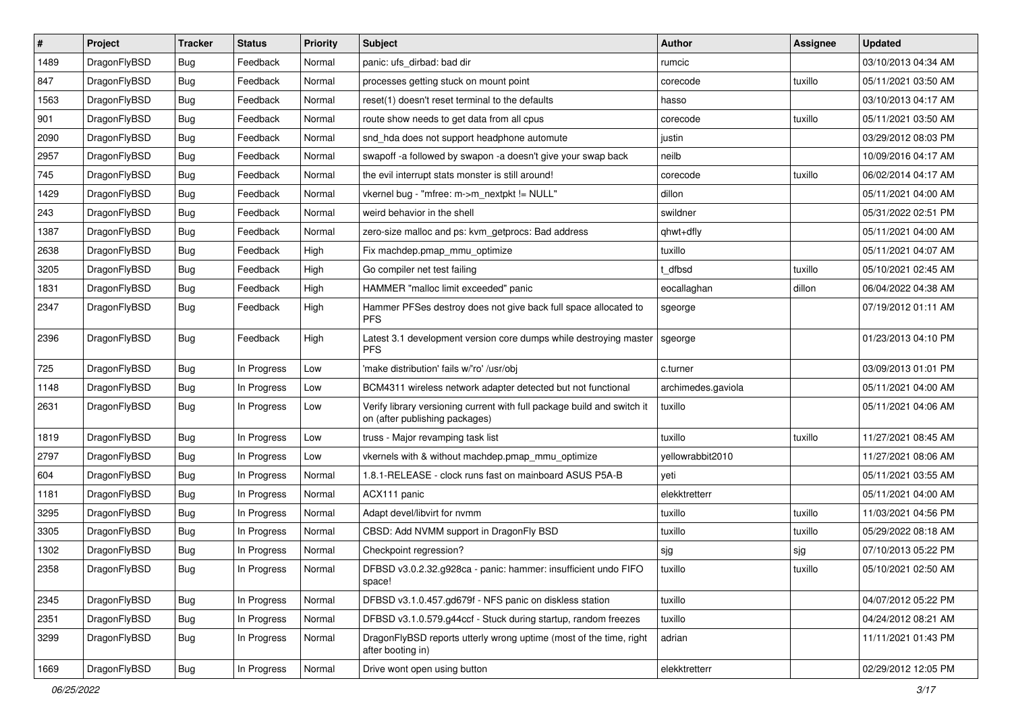| $\pmb{\#}$ | Project      | <b>Tracker</b> | <b>Status</b> | <b>Priority</b> | <b>Subject</b>                                                                                            | <b>Author</b>      | <b>Assignee</b> | <b>Updated</b>      |
|------------|--------------|----------------|---------------|-----------------|-----------------------------------------------------------------------------------------------------------|--------------------|-----------------|---------------------|
| 1489       | DragonFlyBSD | Bug            | Feedback      | Normal          | panic: ufs dirbad: bad dir                                                                                | rumcic             |                 | 03/10/2013 04:34 AM |
| 847        | DragonFlyBSD | Bug            | Feedback      | Normal          | processes getting stuck on mount point                                                                    | corecode           | tuxillo         | 05/11/2021 03:50 AM |
| 1563       | DragonFlyBSD | Bug            | Feedback      | Normal          | reset(1) doesn't reset terminal to the defaults                                                           | hasso              |                 | 03/10/2013 04:17 AM |
| 901        | DragonFlyBSD | Bug            | Feedback      | Normal          | route show needs to get data from all cpus                                                                | corecode           | tuxillo         | 05/11/2021 03:50 AM |
| 2090       | DragonFlyBSD | Bug            | Feedback      | Normal          | snd_hda does not support headphone automute                                                               | justin             |                 | 03/29/2012 08:03 PM |
| 2957       | DragonFlyBSD | Bug            | Feedback      | Normal          | swapoff -a followed by swapon -a doesn't give your swap back                                              | neilb              |                 | 10/09/2016 04:17 AM |
| 745        | DragonFlyBSD | Bug            | Feedback      | Normal          | the evil interrupt stats monster is still around!                                                         | corecode           | tuxillo         | 06/02/2014 04:17 AM |
| 1429       | DragonFlyBSD | Bug            | Feedback      | Normal          | vkernel bug - "mfree: m->m_nextpkt != NULL"                                                               | dillon             |                 | 05/11/2021 04:00 AM |
| 243        | DragonFlyBSD | Bug            | Feedback      | Normal          | weird behavior in the shell                                                                               | swildner           |                 | 05/31/2022 02:51 PM |
| 1387       | DragonFlyBSD | Bug            | Feedback      | Normal          | zero-size malloc and ps: kvm_getprocs: Bad address                                                        | qhwt+dfly          |                 | 05/11/2021 04:00 AM |
| 2638       | DragonFlyBSD | Bug            | Feedback      | High            | Fix machdep.pmap_mmu_optimize                                                                             | tuxillo            |                 | 05/11/2021 04:07 AM |
| 3205       | DragonFlyBSD | Bug            | Feedback      | High            | Go compiler net test failing                                                                              | t dfbsd            | tuxillo         | 05/10/2021 02:45 AM |
| 1831       | DragonFlyBSD | Bug            | Feedback      | High            | HAMMER "malloc limit exceeded" panic                                                                      | eocallaghan        | dillon          | 06/04/2022 04:38 AM |
| 2347       | DragonFlyBSD | Bug            | Feedback      | High            | Hammer PFSes destroy does not give back full space allocated to<br><b>PFS</b>                             | sgeorge            |                 | 07/19/2012 01:11 AM |
| 2396       | DragonFlyBSD | Bug            | Feedback      | High            | Latest 3.1 development version core dumps while destroying master<br><b>PFS</b>                           | sgeorge            |                 | 01/23/2013 04:10 PM |
| 725        | DragonFlyBSD | Bug            | In Progress   | Low             | 'make distribution' fails w/'ro' /usr/obj                                                                 | c.turner           |                 | 03/09/2013 01:01 PM |
| 1148       | DragonFlyBSD | Bug            | In Progress   | Low             | BCM4311 wireless network adapter detected but not functional                                              | archimedes.gaviola |                 | 05/11/2021 04:00 AM |
| 2631       | DragonFlyBSD | Bug            | In Progress   | Low             | Verify library versioning current with full package build and switch it<br>on (after publishing packages) | tuxillo            |                 | 05/11/2021 04:06 AM |
| 1819       | DragonFlyBSD | Bug            | In Progress   | Low             | truss - Major revamping task list                                                                         | tuxillo            | tuxillo         | 11/27/2021 08:45 AM |
| 2797       | DragonFlyBSD | Bug            | In Progress   | Low             | vkernels with & without machdep.pmap_mmu_optimize                                                         | yellowrabbit2010   |                 | 11/27/2021 08:06 AM |
| 604        | DragonFlyBSD | Bug            | In Progress   | Normal          | 1.8.1-RELEASE - clock runs fast on mainboard ASUS P5A-B                                                   | veti               |                 | 05/11/2021 03:55 AM |
| 1181       | DragonFlyBSD | Bug            | In Progress   | Normal          | ACX111 panic                                                                                              | elekktretterr      |                 | 05/11/2021 04:00 AM |
| 3295       | DragonFlyBSD | Bug            | In Progress   | Normal          | Adapt devel/libvirt for nvmm                                                                              | tuxillo            | tuxillo         | 11/03/2021 04:56 PM |
| 3305       | DragonFlyBSD | Bug            | In Progress   | Normal          | CBSD: Add NVMM support in DragonFly BSD                                                                   | tuxillo            | tuxillo         | 05/29/2022 08:18 AM |
| 1302       | DragonFlyBSD | Bug            | In Progress   | Normal          | Checkpoint regression?                                                                                    | sjg                | sjg             | 07/10/2013 05:22 PM |
| 2358       | DragonFlyBSD | i Bug          | In Progress   | Normal          | DFBSD v3.0.2.32.g928ca - panic: hammer: insufficient undo FIFO<br>space!                                  | tuxillo            | tuxillo         | 05/10/2021 02:50 AM |
| 2345       | DragonFlyBSD | Bug            | In Progress   | Normal          | DFBSD v3.1.0.457.gd679f - NFS panic on diskless station                                                   | tuxillo            |                 | 04/07/2012 05:22 PM |
| 2351       | DragonFlyBSD | Bug            | In Progress   | Normal          | DFBSD v3.1.0.579.g44ccf - Stuck during startup, random freezes                                            | tuxillo            |                 | 04/24/2012 08:21 AM |
| 3299       | DragonFlyBSD | Bug            | In Progress   | Normal          | DragonFlyBSD reports utterly wrong uptime (most of the time, right<br>after booting in)                   | adrian             |                 | 11/11/2021 01:43 PM |
| 1669       | DragonFlyBSD | Bug            | In Progress   | Normal          | Drive wont open using button                                                                              | elekktretterr      |                 | 02/29/2012 12:05 PM |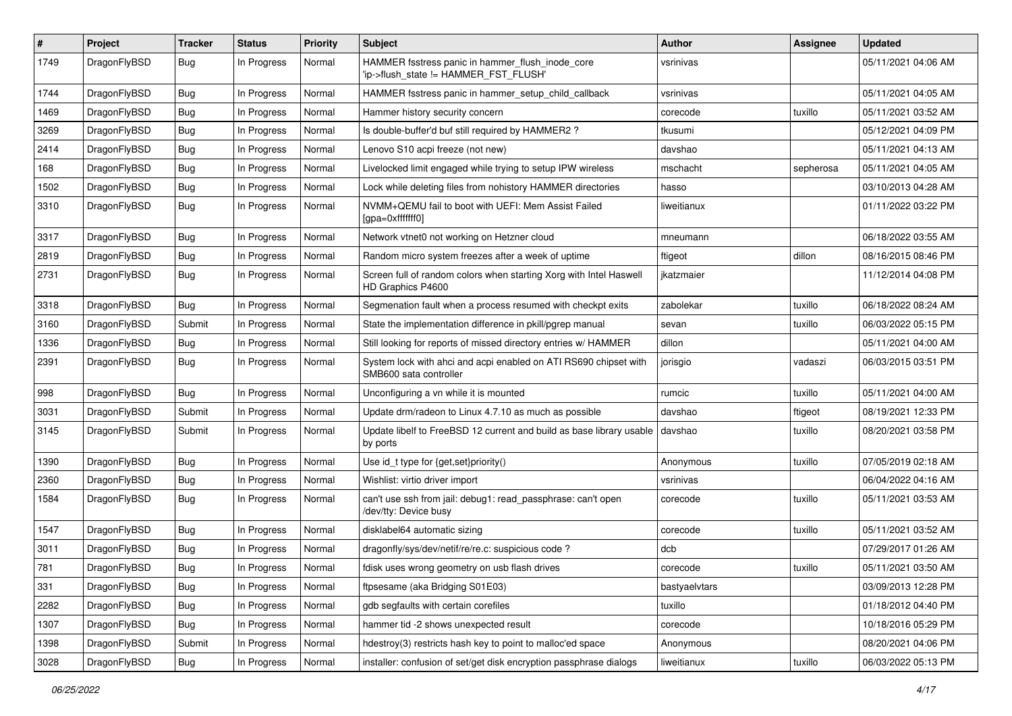| ∦    | Project      | <b>Tracker</b> | <b>Status</b> | <b>Priority</b> | <b>Subject</b>                                                                             | <b>Author</b> | <b>Assignee</b> | <b>Updated</b>      |
|------|--------------|----------------|---------------|-----------------|--------------------------------------------------------------------------------------------|---------------|-----------------|---------------------|
| 1749 | DragonFlyBSD | Bug            | In Progress   | Normal          | HAMMER fsstress panic in hammer_flush_inode_core<br>'ip->flush state != HAMMER FST FLUSH'  | vsrinivas     |                 | 05/11/2021 04:06 AM |
| 1744 | DragonFlyBSD | <b>Bug</b>     | In Progress   | Normal          | HAMMER fsstress panic in hammer setup child callback                                       | vsrinivas     |                 | 05/11/2021 04:05 AM |
| 1469 | DragonFlyBSD | Bug            | In Progress   | Normal          | Hammer history security concern                                                            | corecode      | tuxillo         | 05/11/2021 03:52 AM |
| 3269 | DragonFlyBSD | <b>Bug</b>     | In Progress   | Normal          | Is double-buffer'd buf still required by HAMMER2 ?                                         | tkusumi       |                 | 05/12/2021 04:09 PM |
| 2414 | DragonFlyBSD | <b>Bug</b>     | In Progress   | Normal          | Lenovo S10 acpi freeze (not new)                                                           | davshao       |                 | 05/11/2021 04:13 AM |
| 168  | DragonFlyBSD | Bug            | In Progress   | Normal          | Livelocked limit engaged while trying to setup IPW wireless                                | mschacht      | sepherosa       | 05/11/2021 04:05 AM |
| 1502 | DragonFlyBSD | Bug            | In Progress   | Normal          | Lock while deleting files from nohistory HAMMER directories                                | hasso         |                 | 03/10/2013 04:28 AM |
| 3310 | DragonFlyBSD | Bug            | In Progress   | Normal          | NVMM+QEMU fail to boot with UEFI: Mem Assist Failed<br>[gpa=0xfffffff0]                    | liweitianux   |                 | 01/11/2022 03:22 PM |
| 3317 | DragonFlyBSD | Bug            | In Progress   | Normal          | Network vtnet0 not working on Hetzner cloud                                                | mneumann      |                 | 06/18/2022 03:55 AM |
| 2819 | DragonFlyBSD | Bug            | In Progress   | Normal          | Random micro system freezes after a week of uptime                                         | ftigeot       | dillon          | 08/16/2015 08:46 PM |
| 2731 | DragonFlyBSD | Bug            | In Progress   | Normal          | Screen full of random colors when starting Xorg with Intel Haswell<br>HD Graphics P4600    | jkatzmaier    |                 | 11/12/2014 04:08 PM |
| 3318 | DragonFlyBSD | Bug            | In Progress   | Normal          | Segmenation fault when a process resumed with checkpt exits                                | zabolekar     | tuxillo         | 06/18/2022 08:24 AM |
| 3160 | DragonFlyBSD | Submit         | In Progress   | Normal          | State the implementation difference in pkill/pgrep manual                                  | sevan         | tuxillo         | 06/03/2022 05:15 PM |
| 1336 | DragonFlyBSD | Bug            | In Progress   | Normal          | Still looking for reports of missed directory entries w/ HAMMER                            | dillon        |                 | 05/11/2021 04:00 AM |
| 2391 | DragonFlyBSD | Bug            | In Progress   | Normal          | System lock with ahci and acpi enabled on ATI RS690 chipset with<br>SMB600 sata controller | jorisgio      | vadaszi         | 06/03/2015 03:51 PM |
| 998  | DragonFlyBSD | Bug            | In Progress   | Normal          | Unconfiguring a vn while it is mounted                                                     | rumcic        | tuxillo         | 05/11/2021 04:00 AM |
| 3031 | DragonFlyBSD | Submit         | In Progress   | Normal          | Update drm/radeon to Linux 4.7.10 as much as possible                                      | davshao       | ftigeot         | 08/19/2021 12:33 PM |
| 3145 | DragonFlyBSD | Submit         | In Progress   | Normal          | Update libelf to FreeBSD 12 current and build as base library usable<br>by ports           | davshao       | tuxillo         | 08/20/2021 03:58 PM |
| 1390 | DragonFlyBSD | Bug            | In Progress   | Normal          | Use id_t type for {get,set}priority()                                                      | Anonymous     | tuxillo         | 07/05/2019 02:18 AM |
| 2360 | DragonFlyBSD | <b>Bug</b>     | In Progress   | Normal          | Wishlist: virtio driver import                                                             | vsrinivas     |                 | 06/04/2022 04:16 AM |
| 1584 | DragonFlyBSD | Bug            | In Progress   | Normal          | can't use ssh from jail: debug1: read_passphrase: can't open<br>/dev/tty: Device busy      | corecode      | tuxillo         | 05/11/2021 03:53 AM |
| 1547 | DragonFlyBSD | Bug            | In Progress   | Normal          | disklabel64 automatic sizing                                                               | corecode      | tuxillo         | 05/11/2021 03:52 AM |
| 3011 | DragonFlyBSD | Bug            | In Progress   | Normal          | dragonfly/sys/dev/netif/re/re.c: suspicious code ?                                         | dcb           |                 | 07/29/2017 01:26 AM |
| 781  | DragonFlyBSD | Bug            | In Progress   | Normal          | fdisk uses wrong geometry on usb flash drives                                              | corecode      | tuxillo         | 05/11/2021 03:50 AM |
| 331  | DragonFlyBSD | Bug            | In Progress   | Normal          | ftpsesame (aka Bridging S01E03)                                                            | bastyaelvtars |                 | 03/09/2013 12:28 PM |
| 2282 | DragonFlyBSD | Bug            | In Progress   | Normal          | gdb segfaults with certain corefiles                                                       | tuxillo       |                 | 01/18/2012 04:40 PM |
| 1307 | DragonFlyBSD | <b>Bug</b>     | In Progress   | Normal          | hammer tid -2 shows unexpected result                                                      | corecode      |                 | 10/18/2016 05:29 PM |
| 1398 | DragonFlyBSD | Submit         | In Progress   | Normal          | hdestroy(3) restricts hash key to point to malloc'ed space                                 | Anonymous     |                 | 08/20/2021 04:06 PM |
| 3028 | DragonFlyBSD | Bug            | In Progress   | Normal          | installer: confusion of set/get disk encryption passphrase dialogs                         | liweitianux   | tuxillo         | 06/03/2022 05:13 PM |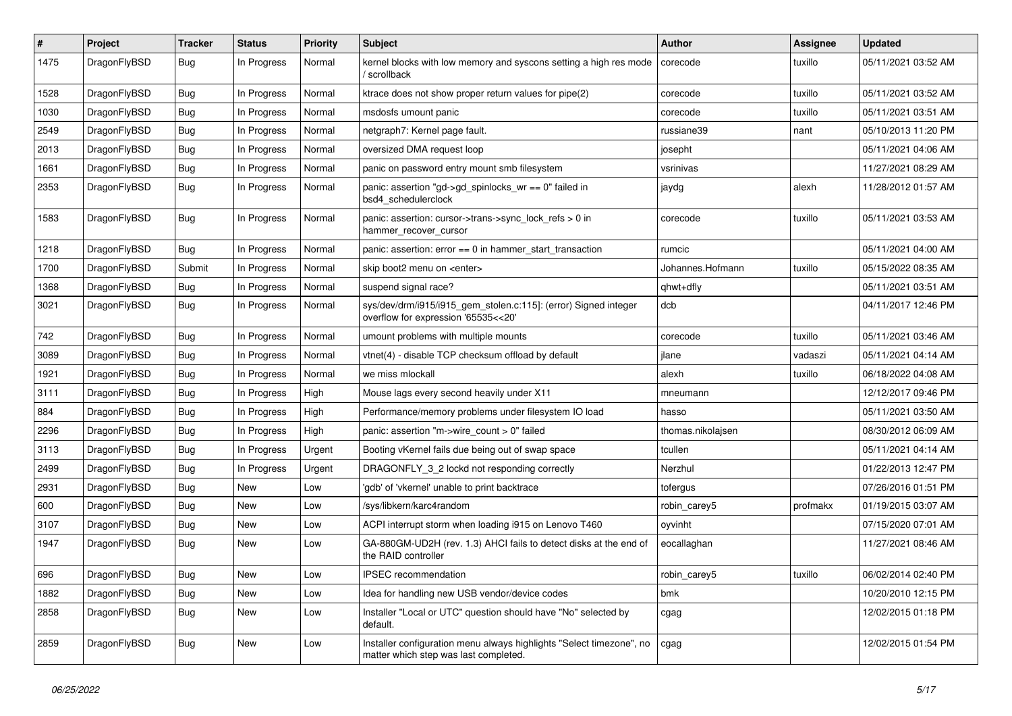| $\sharp$ | Project      | <b>Tracker</b> | <b>Status</b> | <b>Priority</b> | Subject                                                                                                       | <b>Author</b>     | <b>Assignee</b> | <b>Updated</b>      |
|----------|--------------|----------------|---------------|-----------------|---------------------------------------------------------------------------------------------------------------|-------------------|-----------------|---------------------|
| 1475     | DragonFlyBSD | Bug            | In Progress   | Normal          | kernel blocks with low memory and syscons setting a high res mode<br>/ scrollback                             | corecode          | tuxillo         | 05/11/2021 03:52 AM |
| 1528     | DragonFlyBSD | Bug            | In Progress   | Normal          | ktrace does not show proper return values for pipe(2)                                                         | corecode          | tuxillo         | 05/11/2021 03:52 AM |
| 1030     | DragonFlyBSD | <b>Bug</b>     | In Progress   | Normal          | msdosfs umount panic                                                                                          | corecode          | tuxillo         | 05/11/2021 03:51 AM |
| 2549     | DragonFlyBSD | <b>Bug</b>     | In Progress   | Normal          | netgraph7: Kernel page fault.                                                                                 | russiane39        | nant            | 05/10/2013 11:20 PM |
| 2013     | DragonFlyBSD | <b>Bug</b>     | In Progress   | Normal          | oversized DMA request loop                                                                                    | josepht           |                 | 05/11/2021 04:06 AM |
| 1661     | DragonFlyBSD | <b>Bug</b>     | In Progress   | Normal          | panic on password entry mount smb filesystem                                                                  | vsrinivas         |                 | 11/27/2021 08:29 AM |
| 2353     | DragonFlyBSD | Bug            | In Progress   | Normal          | panic: assertion "gd->gd_spinlocks_wr == 0" failed in<br>bsd4_schedulerclock                                  | jaydg             | alexh           | 11/28/2012 01:57 AM |
| 1583     | DragonFlyBSD | Bug            | In Progress   | Normal          | panic: assertion: cursor->trans->sync_lock_refs > 0 in<br>hammer_recover_cursor                               | corecode          | tuxillo         | 05/11/2021 03:53 AM |
| 1218     | DragonFlyBSD | Bug            | In Progress   | Normal          | panic: assertion: $error == 0$ in hammer start transaction                                                    | rumcic            |                 | 05/11/2021 04:00 AM |
| 1700     | DragonFlyBSD | Submit         | In Progress   | Normal          | skip boot2 menu on <enter></enter>                                                                            | Johannes.Hofmann  | tuxillo         | 05/15/2022 08:35 AM |
| 1368     | DragonFlyBSD | <b>Bug</b>     | In Progress   | Normal          | suspend signal race?                                                                                          | qhwt+dfly         |                 | 05/11/2021 03:51 AM |
| 3021     | DragonFlyBSD | <b>Bug</b>     | In Progress   | Normal          | sys/dev/drm/i915/i915_gem_stolen.c:115]: (error) Signed integer<br>overflow for expression '65535<<20'        | dcb               |                 | 04/11/2017 12:46 PM |
| 742      | DragonFlyBSD | Bug            | In Progress   | Normal          | umount problems with multiple mounts                                                                          | corecode          | tuxillo         | 05/11/2021 03:46 AM |
| 3089     | DragonFlyBSD | Bug            | In Progress   | Normal          | vtnet(4) - disable TCP checksum offload by default                                                            | jlane             | vadaszi         | 05/11/2021 04:14 AM |
| 1921     | DragonFlyBSD | Bug            | In Progress   | Normal          | we miss mlockall                                                                                              | alexh             | tuxillo         | 06/18/2022 04:08 AM |
| 3111     | DragonFlyBSD | <b>Bug</b>     | In Progress   | High            | Mouse lags every second heavily under X11                                                                     | mneumann          |                 | 12/12/2017 09:46 PM |
| 884      | DragonFlyBSD | <b>Bug</b>     | In Progress   | High            | Performance/memory problems under filesystem IO load                                                          | hasso             |                 | 05/11/2021 03:50 AM |
| 2296     | DragonFlyBSD | <b>Bug</b>     | In Progress   | High            | panic: assertion "m->wire count > 0" failed                                                                   | thomas.nikolajsen |                 | 08/30/2012 06:09 AM |
| 3113     | DragonFlyBSD | <b>Bug</b>     | In Progress   | Urgent          | Booting vKernel fails due being out of swap space                                                             | tcullen           |                 | 05/11/2021 04:14 AM |
| 2499     | DragonFlyBSD | <b>Bug</b>     | In Progress   | Urgent          | DRAGONFLY 3 2 lockd not responding correctly                                                                  | Nerzhul           |                 | 01/22/2013 12:47 PM |
| 2931     | DragonFlyBSD | <b>Bug</b>     | New           | Low             | 'gdb' of 'vkernel' unable to print backtrace                                                                  | tofergus          |                 | 07/26/2016 01:51 PM |
| 600      | DragonFlyBSD | Bug            | New           | Low             | /sys/libkern/karc4random                                                                                      | robin_carey5      | profmakx        | 01/19/2015 03:07 AM |
| 3107     | DragonFlyBSD | Bug            | New           | Low             | ACPI interrupt storm when loading i915 on Lenovo T460                                                         | oyvinht           |                 | 07/15/2020 07:01 AM |
| 1947     | DragonFlyBSD | Bug            | New           | Low             | GA-880GM-UD2H (rev. 1.3) AHCI fails to detect disks at the end of<br>the RAID controller                      | eocallaghan       |                 | 11/27/2021 08:46 AM |
| 696      | DragonFlyBSD | <b>Bug</b>     | <b>New</b>    | Low             | IPSEC recommendation                                                                                          | robin_carey5      | tuxillo         | 06/02/2014 02:40 PM |
| 1882     | DragonFlyBSD | <b>Bug</b>     | New           | Low             | Idea for handling new USB vendor/device codes                                                                 | bmk               |                 | 10/20/2010 12:15 PM |
| 2858     | DragonFlyBSD | <b>Bug</b>     | New           | Low             | Installer "Local or UTC" question should have "No" selected by<br>default.                                    | cgag              |                 | 12/02/2015 01:18 PM |
| 2859     | DragonFlyBSD | Bug            | New           | Low             | Installer configuration menu always highlights "Select timezone", no<br>matter which step was last completed. | cgag              |                 | 12/02/2015 01:54 PM |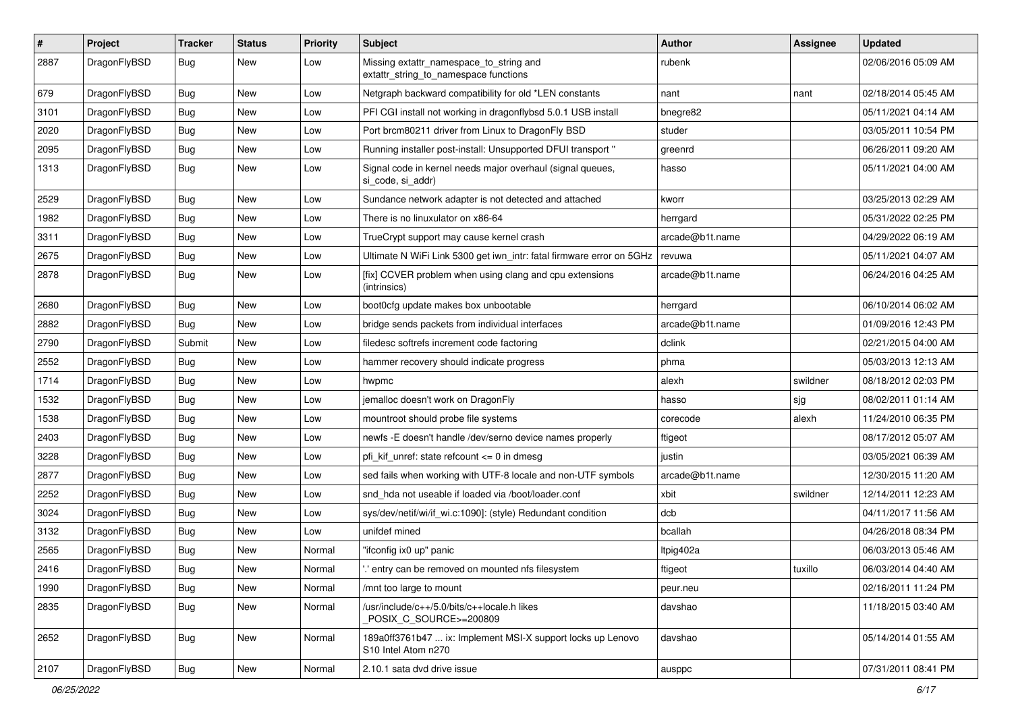| $\sharp$ | Project      | <b>Tracker</b> | <b>Status</b> | <b>Priority</b> | Subject                                                                            | <b>Author</b>   | Assignee | <b>Updated</b>      |
|----------|--------------|----------------|---------------|-----------------|------------------------------------------------------------------------------------|-----------------|----------|---------------------|
| 2887     | DragonFlyBSD | Bug            | New           | Low             | Missing extattr_namespace_to_string and<br>extattr_string_to_namespace functions   | rubenk          |          | 02/06/2016 05:09 AM |
| 679      | DragonFlyBSD | Bug            | <b>New</b>    | Low             | Netgraph backward compatibility for old *LEN constants                             | nant            | nant     | 02/18/2014 05:45 AM |
| 3101     | DragonFlyBSD | <b>Bug</b>     | <b>New</b>    | Low             | PFI CGI install not working in dragonflybsd 5.0.1 USB install                      | bnegre82        |          | 05/11/2021 04:14 AM |
| 2020     | DragonFlyBSD | Bug            | <b>New</b>    | Low             | Port brcm80211 driver from Linux to DragonFly BSD                                  | studer          |          | 03/05/2011 10:54 PM |
| 2095     | DragonFlyBSD | <b>Bug</b>     | New           | Low             | Running installer post-install: Unsupported DFUI transport"                        | greenrd         |          | 06/26/2011 09:20 AM |
| 1313     | DragonFlyBSD | Bug            | New           | Low             | Signal code in kernel needs major overhaul (signal queues,<br>si code, si addr)    | hasso           |          | 05/11/2021 04:00 AM |
| 2529     | DragonFlyBSD | Bug            | <b>New</b>    | Low             | Sundance network adapter is not detected and attached                              | kworr           |          | 03/25/2013 02:29 AM |
| 1982     | DragonFlyBSD | <b>Bug</b>     | New           | Low             | There is no linuxulator on x86-64                                                  | herrgard        |          | 05/31/2022 02:25 PM |
| 3311     | DragonFlyBSD | <b>Bug</b>     | <b>New</b>    | Low             | TrueCrypt support may cause kernel crash                                           | arcade@b1t.name |          | 04/29/2022 06:19 AM |
| 2675     | DragonFlyBSD | <b>Bug</b>     | <b>New</b>    | Low             | Ultimate N WiFi Link 5300 get iwn_intr: fatal firmware error on 5GHz               | revuwa          |          | 05/11/2021 04:07 AM |
| 2878     | DragonFlyBSD | Bug            | <b>New</b>    | Low             | [fix] CCVER problem when using clang and cpu extensions<br>(intrinsics)            | arcade@b1t.name |          | 06/24/2016 04:25 AM |
| 2680     | DragonFlyBSD | Bug            | <b>New</b>    | Low             | boot0cfg update makes box unbootable                                               | herrgard        |          | 06/10/2014 06:02 AM |
| 2882     | DragonFlyBSD | Bug            | <b>New</b>    | Low             | bridge sends packets from individual interfaces                                    | arcade@b1t.name |          | 01/09/2016 12:43 PM |
| 2790     | DragonFlyBSD | Submit         | <b>New</b>    | Low             | filedesc softrefs increment code factoring                                         | dclink          |          | 02/21/2015 04:00 AM |
| 2552     | DragonFlyBSD | Bug            | <b>New</b>    | Low             | hammer recovery should indicate progress                                           | phma            |          | 05/03/2013 12:13 AM |
| 1714     | DragonFlyBSD | <b>Bug</b>     | New           | Low             | hwpmc                                                                              | alexh           | swildner | 08/18/2012 02:03 PM |
| 1532     | DragonFlyBSD | <b>Bug</b>     | <b>New</b>    | Low             | jemalloc doesn't work on DragonFly                                                 | hasso           | sjg      | 08/02/2011 01:14 AM |
| 1538     | DragonFlyBSD | <b>Bug</b>     | <b>New</b>    | Low             | mountroot should probe file systems                                                | corecode        | alexh    | 11/24/2010 06:35 PM |
| 2403     | DragonFlyBSD | <b>Bug</b>     | New           | Low             | newfs -E doesn't handle /dev/serno device names properly                           | ftigeot         |          | 08/17/2012 05:07 AM |
| 3228     | DragonFlyBSD | Bug            | <b>New</b>    | Low             | pfi kif unref: state refcount $\leq$ 0 in dmesg                                    | justin          |          | 03/05/2021 06:39 AM |
| 2877     | DragonFlyBSD | Bug            | <b>New</b>    | Low             | sed fails when working with UTF-8 locale and non-UTF symbols                       | arcade@b1t.name |          | 12/30/2015 11:20 AM |
| 2252     | DragonFlyBSD | <b>Bug</b>     | New           | Low             | snd hda not useable if loaded via /boot/loader.conf                                | xbit            | swildner | 12/14/2011 12:23 AM |
| 3024     | DragonFlyBSD | Bug            | <b>New</b>    | Low             | sys/dev/netif/wi/if_wi.c:1090]: (style) Redundant condition                        | dcb             |          | 04/11/2017 11:56 AM |
| 3132     | DragonFlyBSD | <b>Bug</b>     | <b>New</b>    | Low             | unifdef mined                                                                      | bcallah         |          | 04/26/2018 08:34 PM |
| 2565     | DragonFlyBSD | <b>Bug</b>     | New           | Normal          | "ifconfig ix0 up" panic                                                            | Itpig402a       |          | 06/03/2013 05:46 AM |
| 2416     | DragonFlyBSD | Bug            | New           | Normal          | 'entry can be removed on mounted nfs filesystem                                    | ftigeot         | tuxillo  | 06/03/2014 04:40 AM |
| 1990     | DragonFlyBSD | Bug            | New           | Normal          | /mnt too large to mount                                                            | peur.neu        |          | 02/16/2011 11:24 PM |
| 2835     | DragonFlyBSD | Bug            | New           | Normal          | /usr/include/c++/5.0/bits/c++locale.h likes<br>POSIX C SOURCE>=200809              | davshao         |          | 11/18/2015 03:40 AM |
| 2652     | DragonFlyBSD | Bug            | New           | Normal          | 189a0ff3761b47  ix: Implement MSI-X support locks up Lenovo<br>S10 Intel Atom n270 | davshao         |          | 05/14/2014 01:55 AM |
| 2107     | DragonFlyBSD | Bug            | New           | Normal          | 2.10.1 sata dvd drive issue                                                        | ausppc          |          | 07/31/2011 08:41 PM |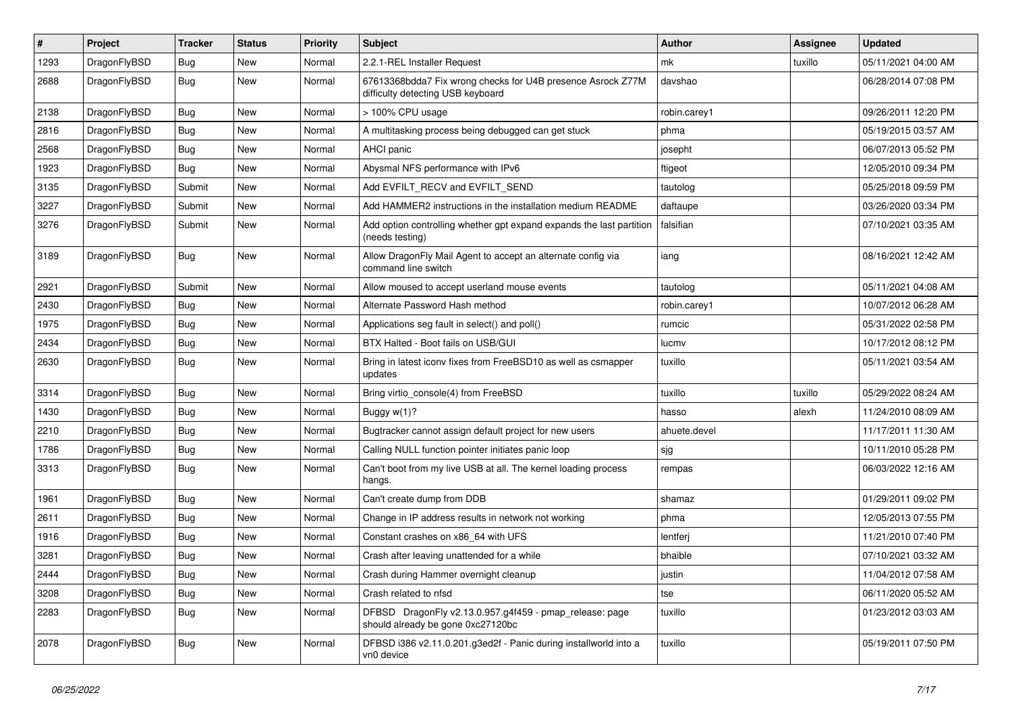| $\sharp$ | Project      | <b>Tracker</b> | <b>Status</b> | <b>Priority</b> | Subject                                                                                          | <b>Author</b> | <b>Assignee</b> | <b>Updated</b>      |
|----------|--------------|----------------|---------------|-----------------|--------------------------------------------------------------------------------------------------|---------------|-----------------|---------------------|
| 1293     | DragonFlyBSD | <b>Bug</b>     | New           | Normal          | 2.2.1-REL Installer Request                                                                      | mk            | tuxillo         | 05/11/2021 04:00 AM |
| 2688     | DragonFlyBSD | Bug            | <b>New</b>    | Normal          | 67613368bdda7 Fix wrong checks for U4B presence Asrock Z77M<br>difficulty detecting USB keyboard | davshao       |                 | 06/28/2014 07:08 PM |
| 2138     | DragonFlyBSD | Bug            | New           | Normal          | > 100% CPU usage                                                                                 | robin.carey1  |                 | 09/26/2011 12:20 PM |
| 2816     | DragonFlyBSD | Bug            | <b>New</b>    | Normal          | A multitasking process being debugged can get stuck                                              | phma          |                 | 05/19/2015 03:57 AM |
| 2568     | DragonFlyBSD | <b>Bug</b>     | <b>New</b>    | Normal          | <b>AHCI</b> panic                                                                                | josepht       |                 | 06/07/2013 05:52 PM |
| 1923     | DragonFlyBSD | Bug            | <b>New</b>    | Normal          | Abysmal NFS performance with IPv6                                                                | ftigeot       |                 | 12/05/2010 09:34 PM |
| 3135     | DragonFlyBSD | Submit         | <b>New</b>    | Normal          | Add EVFILT_RECV and EVFILT_SEND                                                                  | tautolog      |                 | 05/25/2018 09:59 PM |
| 3227     | DragonFlyBSD | Submit         | New           | Normal          | Add HAMMER2 instructions in the installation medium README                                       | daftaupe      |                 | 03/26/2020 03:34 PM |
| 3276     | DragonFlyBSD | Submit         | <b>New</b>    | Normal          | Add option controlling whether gpt expand expands the last partition<br>(needs testing)          | falsifian     |                 | 07/10/2021 03:35 AM |
| 3189     | DragonFlyBSD | Bug            | <b>New</b>    | Normal          | Allow DragonFly Mail Agent to accept an alternate config via<br>command line switch              | iang          |                 | 08/16/2021 12:42 AM |
| 2921     | DragonFlyBSD | Submit         | <b>New</b>    | Normal          | Allow moused to accept userland mouse events                                                     | tautolog      |                 | 05/11/2021 04:08 AM |
| 2430     | DragonFlyBSD | Bug            | <b>New</b>    | Normal          | Alternate Password Hash method                                                                   | robin.carey1  |                 | 10/07/2012 06:28 AM |
| 1975     | DragonFlyBSD | Bug            | New           | Normal          | Applications seg fault in select() and poll()                                                    | rumcic        |                 | 05/31/2022 02:58 PM |
| 2434     | DragonFlyBSD | <b>Bug</b>     | New           | Normal          | BTX Halted - Boot fails on USB/GUI                                                               | lucmv         |                 | 10/17/2012 08:12 PM |
| 2630     | DragonFlyBSD | Bug            | New           | Normal          | Bring in latest iconv fixes from FreeBSD10 as well as csmapper<br>updates                        | tuxillo       |                 | 05/11/2021 03:54 AM |
| 3314     | DragonFlyBSD | Bug            | New           | Normal          | Bring virtio_console(4) from FreeBSD                                                             | tuxillo       | tuxillo         | 05/29/2022 08:24 AM |
| 1430     | DragonFlyBSD | Bug            | <b>New</b>    | Normal          | Buggy w(1)?                                                                                      | hasso         | alexh           | 11/24/2010 08:09 AM |
| 2210     | DragonFlyBSD | <b>Bug</b>     | <b>New</b>    | Normal          | Bugtracker cannot assign default project for new users                                           | ahuete.devel  |                 | 11/17/2011 11:30 AM |
| 1786     | DragonFlyBSD | <b>Bug</b>     | <b>New</b>    | Normal          | Calling NULL function pointer initiates panic loop                                               | sjg           |                 | 10/11/2010 05:28 PM |
| 3313     | DragonFlyBSD | Bug            | New           | Normal          | Can't boot from my live USB at all. The kernel loading process<br>hangs.                         | rempas        |                 | 06/03/2022 12:16 AM |
| 1961     | DragonFlyBSD | Bug            | <b>New</b>    | Normal          | Can't create dump from DDB                                                                       | shamaz        |                 | 01/29/2011 09:02 PM |
| 2611     | DragonFlyBSD | Bug            | New           | Normal          | Change in IP address results in network not working                                              | phma          |                 | 12/05/2013 07:55 PM |
| 1916     | DragonFlyBSD | Bug            | <b>New</b>    | Normal          | Constant crashes on x86_64 with UFS                                                              | lentferj      |                 | 11/21/2010 07:40 PM |
| 3281     | DragonFlyBSD | Bug            | New           | Normal          | Crash after leaving unattended for a while                                                       | bhaible       |                 | 07/10/2021 03:32 AM |
| 2444     | DragonFlyBSD | <b>Bug</b>     | New           | Normal          | Crash during Hammer overnight cleanup                                                            | justin        |                 | 11/04/2012 07:58 AM |
| 3208     | DragonFlyBSD | <b>Bug</b>     | New           | Normal          | Crash related to nfsd                                                                            | tse           |                 | 06/11/2020 05:52 AM |
| 2283     | DragonFlyBSD | <b>Bug</b>     | New           | Normal          | DFBSD DragonFly v2.13.0.957.g4f459 - pmap_release: page<br>should already be gone 0xc27120bc     | tuxillo       |                 | 01/23/2012 03:03 AM |
| 2078     | DragonFlyBSD | Bug            | New           | Normal          | DFBSD i386 v2.11.0.201.g3ed2f - Panic during installworld into a<br>vn0 device                   | tuxillo       |                 | 05/19/2011 07:50 PM |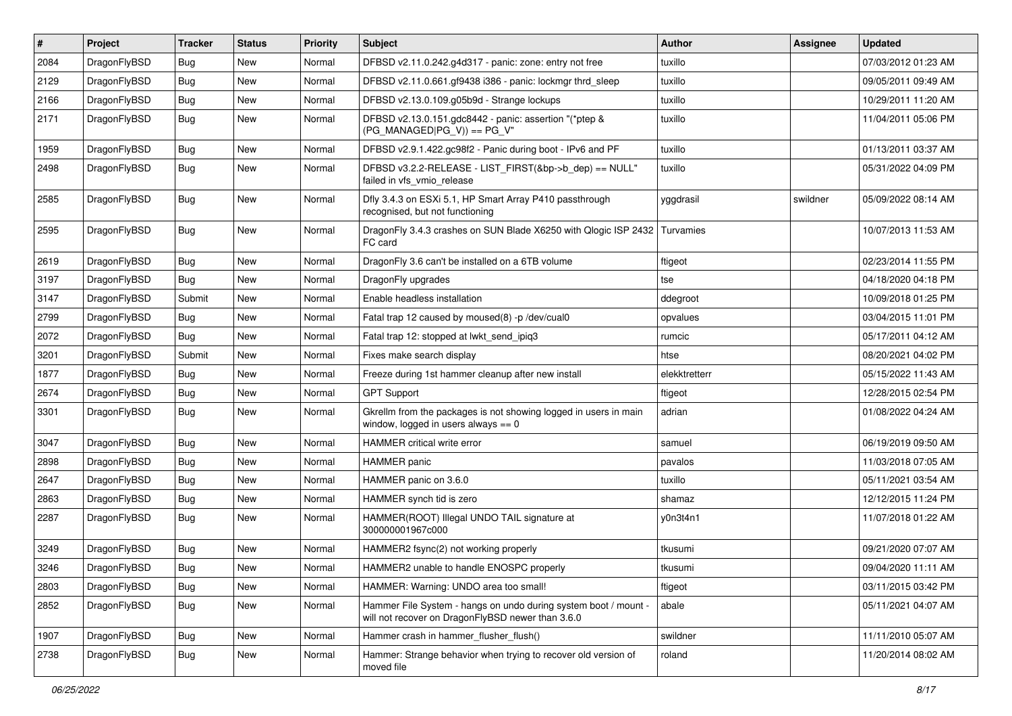| $\vert$ # | Project      | <b>Tracker</b> | <b>Status</b> | <b>Priority</b> | <b>Subject</b>                                                                                                       | Author        | Assignee | <b>Updated</b>      |
|-----------|--------------|----------------|---------------|-----------------|----------------------------------------------------------------------------------------------------------------------|---------------|----------|---------------------|
| 2084      | DragonFlyBSD | Bug            | New           | Normal          | DFBSD v2.11.0.242.g4d317 - panic: zone: entry not free                                                               | tuxillo       |          | 07/03/2012 01:23 AM |
| 2129      | DragonFlyBSD | <b>Bug</b>     | <b>New</b>    | Normal          | DFBSD v2.11.0.661.gf9438 i386 - panic: lockmgr thrd_sleep                                                            | tuxillo       |          | 09/05/2011 09:49 AM |
| 2166      | DragonFlyBSD | <b>Bug</b>     | New           | Normal          | DFBSD v2.13.0.109.g05b9d - Strange lockups                                                                           | tuxillo       |          | 10/29/2011 11:20 AM |
| 2171      | DragonFlyBSD | Bug            | New           | Normal          | DFBSD v2.13.0.151.gdc8442 - panic: assertion "(*ptep &<br>$(PG_MANAGED PG_V)) == PG_V"$                              | tuxillo       |          | 11/04/2011 05:06 PM |
| 1959      | DragonFlyBSD | Bug            | New           | Normal          | DFBSD v2.9.1.422.gc98f2 - Panic during boot - IPv6 and PF                                                            | tuxillo       |          | 01/13/2011 03:37 AM |
| 2498      | DragonFlyBSD | <b>Bug</b>     | <b>New</b>    | Normal          | DFBSD v3.2.2-RELEASE - LIST_FIRST(&bp->b_dep) == NULL"<br>failed in vfs_vmio_release                                 | tuxillo       |          | 05/31/2022 04:09 PM |
| 2585      | DragonFlyBSD | Bug            | <b>New</b>    | Normal          | Dfly 3.4.3 on ESXi 5.1, HP Smart Array P410 passthrough<br>recognised, but not functioning                           | yggdrasil     | swildner | 05/09/2022 08:14 AM |
| 2595      | DragonFlyBSD | <b>Bug</b>     | <b>New</b>    | Normal          | DragonFly 3.4.3 crashes on SUN Blade X6250 with Qlogic ISP 2432<br>FC card                                           | Turvamies     |          | 10/07/2013 11:53 AM |
| 2619      | DragonFlyBSD | <b>Bug</b>     | <b>New</b>    | Normal          | DragonFly 3.6 can't be installed on a 6TB volume                                                                     | ftigeot       |          | 02/23/2014 11:55 PM |
| 3197      | DragonFlyBSD | Bug            | New           | Normal          | DragonFly upgrades                                                                                                   | tse           |          | 04/18/2020 04:18 PM |
| 3147      | DragonFlyBSD | Submit         | New           | Normal          | Enable headless installation                                                                                         | ddegroot      |          | 10/09/2018 01:25 PM |
| 2799      | DragonFlyBSD | Bug            | New           | Normal          | Fatal trap 12 caused by moused(8) -p/dev/cual0                                                                       | opvalues      |          | 03/04/2015 11:01 PM |
| 2072      | DragonFlyBSD | Bug            | <b>New</b>    | Normal          | Fatal trap 12: stopped at lwkt_send_ipiq3                                                                            | rumcic        |          | 05/17/2011 04:12 AM |
| 3201      | DragonFlyBSD | Submit         | <b>New</b>    | Normal          | Fixes make search display                                                                                            | htse          |          | 08/20/2021 04:02 PM |
| 1877      | DragonFlyBSD | Bug            | New           | Normal          | Freeze during 1st hammer cleanup after new install                                                                   | elekktretterr |          | 05/15/2022 11:43 AM |
| 2674      | DragonFlyBSD | Bug            | New           | Normal          | <b>GPT Support</b>                                                                                                   | ftigeot       |          | 12/28/2015 02:54 PM |
| 3301      | DragonFlyBSD | Bug            | New           | Normal          | Gkrellm from the packages is not showing logged in users in main<br>window, logged in users always $== 0$            | adrian        |          | 01/08/2022 04:24 AM |
| 3047      | DragonFlyBSD | Bug            | <b>New</b>    | Normal          | HAMMER critical write error                                                                                          | samuel        |          | 06/19/2019 09:50 AM |
| 2898      | DragonFlyBSD | Bug            | New           | Normal          | <b>HAMMER</b> panic                                                                                                  | pavalos       |          | 11/03/2018 07:05 AM |
| 2647      | DragonFlyBSD | Bug            | <b>New</b>    | Normal          | HAMMER panic on 3.6.0                                                                                                | tuxillo       |          | 05/11/2021 03:54 AM |
| 2863      | DragonFlyBSD | <b>Bug</b>     | <b>New</b>    | Normal          | HAMMER synch tid is zero                                                                                             | shamaz        |          | 12/12/2015 11:24 PM |
| 2287      | DragonFlyBSD | <b>Bug</b>     | New           | Normal          | HAMMER(ROOT) Illegal UNDO TAIL signature at<br>300000001967c000                                                      | y0n3t4n1      |          | 11/07/2018 01:22 AM |
| 3249      | DragonFlyBSD | <b>Bug</b>     | <b>New</b>    | Normal          | HAMMER2 fsync(2) not working properly                                                                                | tkusumi       |          | 09/21/2020 07:07 AM |
| 3246      | DragonFlyBSD | Bug            | New           | Normal          | HAMMER2 unable to handle ENOSPC properly                                                                             | tkusumi       |          | 09/04/2020 11:11 AM |
| 2803      | DragonFlyBSD | Bug            | New           | Normal          | HAMMER: Warning: UNDO area too small!                                                                                | ftigeot       |          | 03/11/2015 03:42 PM |
| 2852      | DragonFlyBSD | <b>Bug</b>     | New           | Normal          | Hammer File System - hangs on undo during system boot / mount -<br>will not recover on DragonFlyBSD newer than 3.6.0 | abale         |          | 05/11/2021 04:07 AM |
| 1907      | DragonFlyBSD | <b>Bug</b>     | New           | Normal          | Hammer crash in hammer_flusher_flush()                                                                               | swildner      |          | 11/11/2010 05:07 AM |
| 2738      | DragonFlyBSD | <b>Bug</b>     | New           | Normal          | Hammer: Strange behavior when trying to recover old version of<br>moved file                                         | roland        |          | 11/20/2014 08:02 AM |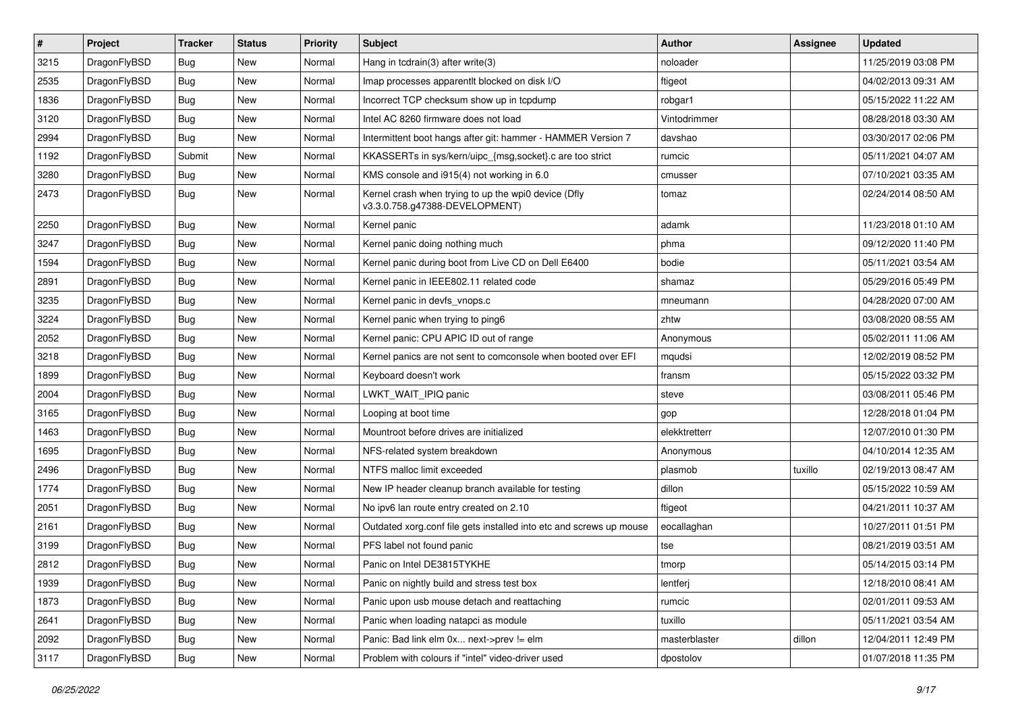| $\sharp$ | Project      | <b>Tracker</b> | <b>Status</b> | <b>Priority</b> | Subject                                                                                | <b>Author</b> | Assignee | <b>Updated</b>      |
|----------|--------------|----------------|---------------|-----------------|----------------------------------------------------------------------------------------|---------------|----------|---------------------|
| 3215     | DragonFlyBSD | Bug            | <b>New</b>    | Normal          | Hang in tcdrain(3) after write(3)                                                      | noloader      |          | 11/25/2019 03:08 PM |
| 2535     | DragonFlyBSD | Bug            | <b>New</b>    | Normal          | Imap processes apparentlt blocked on disk I/O                                          | ftigeot       |          | 04/02/2013 09:31 AM |
| 1836     | DragonFlyBSD | <b>Bug</b>     | New           | Normal          | Incorrect TCP checksum show up in tcpdump                                              | robgar1       |          | 05/15/2022 11:22 AM |
| 3120     | DragonFlyBSD | Bug            | <b>New</b>    | Normal          | Intel AC 8260 firmware does not load                                                   | Vintodrimmer  |          | 08/28/2018 03:30 AM |
| 2994     | DragonFlyBSD | Bug            | <b>New</b>    | Normal          | Intermittent boot hangs after git: hammer - HAMMER Version 7                           | davshao       |          | 03/30/2017 02:06 PM |
| 1192     | DragonFlyBSD | Submit         | New           | Normal          | KKASSERTs in sys/kern/uipc_{msg,socket}.c are too strict                               | rumcic        |          | 05/11/2021 04:07 AM |
| 3280     | DragonFlyBSD | Bug            | <b>New</b>    | Normal          | KMS console and i915(4) not working in 6.0                                             | cmusser       |          | 07/10/2021 03:35 AM |
| 2473     | DragonFlyBSD | Bug            | New           | Normal          | Kernel crash when trying to up the wpi0 device (Dfly<br>v3.3.0.758.g47388-DEVELOPMENT) | tomaz         |          | 02/24/2014 08:50 AM |
| 2250     | DragonFlyBSD | Bug            | <b>New</b>    | Normal          | Kernel panic                                                                           | adamk         |          | 11/23/2018 01:10 AM |
| 3247     | DragonFlyBSD | Bug            | New           | Normal          | Kernel panic doing nothing much                                                        | phma          |          | 09/12/2020 11:40 PM |
| 1594     | DragonFlyBSD | Bug            | <b>New</b>    | Normal          | Kernel panic during boot from Live CD on Dell E6400                                    | bodie         |          | 05/11/2021 03:54 AM |
| 2891     | DragonFlyBSD | Bug            | <b>New</b>    | Normal          | Kernel panic in IEEE802.11 related code                                                | shamaz        |          | 05/29/2016 05:49 PM |
| 3235     | DragonFlyBSD | Bug            | New           | Normal          | Kernel panic in devfs_vnops.c                                                          | mneumann      |          | 04/28/2020 07:00 AM |
| 3224     | DragonFlyBSD | Bug            | New           | Normal          | Kernel panic when trying to ping6                                                      | zhtw          |          | 03/08/2020 08:55 AM |
| 2052     | DragonFlyBSD | Bug            | <b>New</b>    | Normal          | Kernel panic: CPU APIC ID out of range                                                 | Anonymous     |          | 05/02/2011 11:06 AM |
| 3218     | DragonFlyBSD | Bug            | New           | Normal          | Kernel panics are not sent to comconsole when booted over EFI                          | mqudsi        |          | 12/02/2019 08:52 PM |
| 1899     | DragonFlyBSD | Bug            | <b>New</b>    | Normal          | Keyboard doesn't work                                                                  | fransm        |          | 05/15/2022 03:32 PM |
| 2004     | DragonFlyBSD | Bug            | <b>New</b>    | Normal          | LWKT WAIT IPIQ panic                                                                   | steve         |          | 03/08/2011 05:46 PM |
| 3165     | DragonFlyBSD | Bug            | <b>New</b>    | Normal          | Looping at boot time                                                                   | gop           |          | 12/28/2018 01:04 PM |
| 1463     | DragonFlyBSD | Bug            | <b>New</b>    | Normal          | Mountroot before drives are initialized                                                | elekktretterr |          | 12/07/2010 01:30 PM |
| 1695     | DragonFlyBSD | Bug            | New           | Normal          | NFS-related system breakdown                                                           | Anonymous     |          | 04/10/2014 12:35 AM |
| 2496     | DragonFlyBSD | Bug            | <b>New</b>    | Normal          | NTFS malloc limit exceeded                                                             | plasmob       | tuxillo  | 02/19/2013 08:47 AM |
| 1774     | DragonFlyBSD | Bug            | New           | Normal          | New IP header cleanup branch available for testing                                     | dillon        |          | 05/15/2022 10:59 AM |
| 2051     | DragonFlyBSD | Bug            | New           | Normal          | No ipv6 lan route entry created on 2.10                                                | ftigeot       |          | 04/21/2011 10:37 AM |
| 2161     | DragonFlyBSD | <b>Bug</b>     | <b>New</b>    | Normal          | Outdated xorg.conf file gets installed into etc and screws up mouse                    | eocallaghan   |          | 10/27/2011 01:51 PM |
| 3199     | DragonFlyBSD | <b>Bug</b>     | <b>New</b>    | Normal          | PFS label not found panic                                                              | tse           |          | 08/21/2019 03:51 AM |
| 2812     | DragonFlyBSD | Bug            | <b>New</b>    | Normal          | Panic on Intel DE3815TYKHE                                                             | tmorp         |          | 05/14/2015 03:14 PM |
| 1939     | DragonFlyBSD | <b>Bug</b>     | New           | Normal          | Panic on nightly build and stress test box                                             | lentferj      |          | 12/18/2010 08:41 AM |
| 1873     | DragonFlyBSD | Bug            | New           | Normal          | Panic upon usb mouse detach and reattaching                                            | rumcic        |          | 02/01/2011 09:53 AM |
| 2641     | DragonFlyBSD | <b>Bug</b>     | New           | Normal          | Panic when loading natapci as module                                                   | tuxillo       |          | 05/11/2021 03:54 AM |
| 2092     | DragonFlyBSD | <b>Bug</b>     | New           | Normal          | Panic: Bad link elm 0x next->prev != elm                                               | masterblaster | dillon   | 12/04/2011 12:49 PM |
| 3117     | DragonFlyBSD | Bug            | New           | Normal          | Problem with colours if "intel" video-driver used                                      | dpostolov     |          | 01/07/2018 11:35 PM |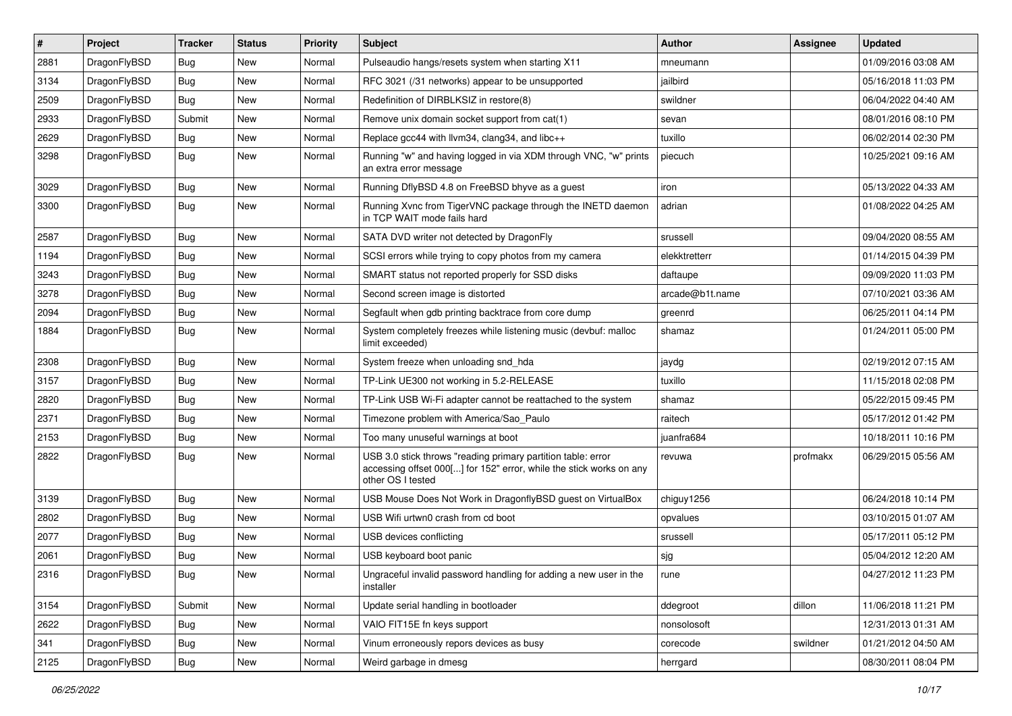| $\vert$ # | Project      | <b>Tracker</b> | <b>Status</b> | <b>Priority</b> | <b>Subject</b>                                                                                                                                           | Author          | Assignee | <b>Updated</b>      |
|-----------|--------------|----------------|---------------|-----------------|----------------------------------------------------------------------------------------------------------------------------------------------------------|-----------------|----------|---------------------|
| 2881      | DragonFlyBSD | Bug            | New           | Normal          | Pulseaudio hangs/resets system when starting X11                                                                                                         | mneumann        |          | 01/09/2016 03:08 AM |
| 3134      | DragonFlyBSD | <b>Bug</b>     | <b>New</b>    | Normal          | RFC 3021 (/31 networks) appear to be unsupported                                                                                                         | jailbird        |          | 05/16/2018 11:03 PM |
| 2509      | DragonFlyBSD | Bug            | New           | Normal          | Redefinition of DIRBLKSIZ in restore(8)                                                                                                                  | swildner        |          | 06/04/2022 04:40 AM |
| 2933      | DragonFlyBSD | Submit         | New           | Normal          | Remove unix domain socket support from cat(1)                                                                                                            | sevan           |          | 08/01/2016 08:10 PM |
| 2629      | DragonFlyBSD | Bug            | New           | Normal          | Replace gcc44 with llvm34, clang34, and libc++                                                                                                           | tuxillo         |          | 06/02/2014 02:30 PM |
| 3298      | DragonFlyBSD | <b>Bug</b>     | New           | Normal          | Running "w" and having logged in via XDM through VNC, "w" prints<br>an extra error message                                                               | piecuch         |          | 10/25/2021 09:16 AM |
| 3029      | DragonFlyBSD | Bug            | New           | Normal          | Running DflyBSD 4.8 on FreeBSD bhyve as a guest                                                                                                          | iron            |          | 05/13/2022 04:33 AM |
| 3300      | DragonFlyBSD | Bug            | New           | Normal          | Running Xvnc from TigerVNC package through the INETD daemon<br>in TCP WAIT mode fails hard                                                               | adrian          |          | 01/08/2022 04:25 AM |
| 2587      | DragonFlyBSD | Bug            | <b>New</b>    | Normal          | SATA DVD writer not detected by DragonFly                                                                                                                | srussell        |          | 09/04/2020 08:55 AM |
| 1194      | DragonFlyBSD | Bug            | New           | Normal          | SCSI errors while trying to copy photos from my camera                                                                                                   | elekktretterr   |          | 01/14/2015 04:39 PM |
| 3243      | DragonFlyBSD | <b>Bug</b>     | New           | Normal          | SMART status not reported properly for SSD disks                                                                                                         | daftaupe        |          | 09/09/2020 11:03 PM |
| 3278      | DragonFlyBSD | <b>Bug</b>     | New           | Normal          | Second screen image is distorted                                                                                                                         | arcade@b1t.name |          | 07/10/2021 03:36 AM |
| 2094      | DragonFlyBSD | Bug            | <b>New</b>    | Normal          | Segfault when gdb printing backtrace from core dump                                                                                                      | greenrd         |          | 06/25/2011 04:14 PM |
| 1884      | DragonFlyBSD | Bug            | New           | Normal          | System completely freezes while listening music (devbuf: malloc<br>limit exceeded)                                                                       | shamaz          |          | 01/24/2011 05:00 PM |
| 2308      | DragonFlyBSD | <b>Bug</b>     | <b>New</b>    | Normal          | System freeze when unloading snd_hda                                                                                                                     | jaydg           |          | 02/19/2012 07:15 AM |
| 3157      | DragonFlyBSD | <b>Bug</b>     | New           | Normal          | TP-Link UE300 not working in 5.2-RELEASE                                                                                                                 | tuxillo         |          | 11/15/2018 02:08 PM |
| 2820      | DragonFlyBSD | Bug            | New           | Normal          | TP-Link USB Wi-Fi adapter cannot be reattached to the system                                                                                             | shamaz          |          | 05/22/2015 09:45 PM |
| 2371      | DragonFlyBSD | Bug            | New           | Normal          | Timezone problem with America/Sao_Paulo                                                                                                                  | raitech         |          | 05/17/2012 01:42 PM |
| 2153      | DragonFlyBSD | Bug            | New           | Normal          | Too many unuseful warnings at boot                                                                                                                       | juanfra684      |          | 10/18/2011 10:16 PM |
| 2822      | DragonFlyBSD | Bug            | New           | Normal          | USB 3.0 stick throws "reading primary partition table: error<br>accessing offset 000[] for 152" error, while the stick works on any<br>other OS I tested | revuwa          | profmakx | 06/29/2015 05:56 AM |
| 3139      | DragonFlyBSD | <b>Bug</b>     | <b>New</b>    | Normal          | USB Mouse Does Not Work in DragonflyBSD guest on VirtualBox                                                                                              | chiguy1256      |          | 06/24/2018 10:14 PM |
| 2802      | DragonFlyBSD | Bug            | New           | Normal          | USB Wifi urtwn0 crash from cd boot                                                                                                                       | opvalues        |          | 03/10/2015 01:07 AM |
| 2077      | DragonFlyBSD | Bug            | <b>New</b>    | Normal          | USB devices conflicting                                                                                                                                  | srussell        |          | 05/17/2011 05:12 PM |
| 2061      | DragonFlyBSD | <b>Bug</b>     | New           | Normal          | USB keyboard boot panic                                                                                                                                  | sjg             |          | 05/04/2012 12:20 AM |
| 2316      | DragonFlyBSD | Bug            | New           | Normal          | Ungraceful invalid password handling for adding a new user in the<br>installer                                                                           | rune            |          | 04/27/2012 11:23 PM |
| 3154      | DragonFlyBSD | Submit         | New           | Normal          | Update serial handling in bootloader                                                                                                                     | ddegroot        | dillon   | 11/06/2018 11:21 PM |
| 2622      | DragonFlyBSD | <b>Bug</b>     | New           | Normal          | VAIO FIT15E fn keys support                                                                                                                              | nonsolosoft     |          | 12/31/2013 01:31 AM |
| 341       | DragonFlyBSD | <b>Bug</b>     | New           | Normal          | Vinum erroneously repors devices as busy                                                                                                                 | corecode        | swildner | 01/21/2012 04:50 AM |
| 2125      | DragonFlyBSD | Bug            | New           | Normal          | Weird garbage in dmesg                                                                                                                                   | herrgard        |          | 08/30/2011 08:04 PM |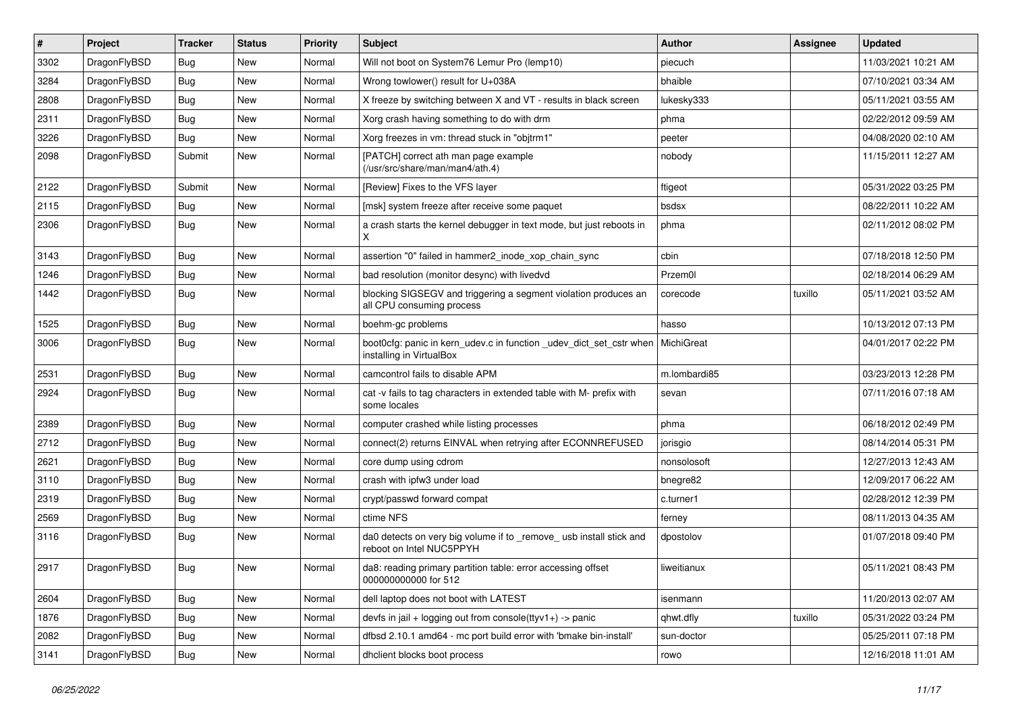| $\pmb{\#}$ | Project      | <b>Tracker</b> | <b>Status</b> | <b>Priority</b> | <b>Subject</b>                                                                                  | <b>Author</b> | <b>Assignee</b> | <b>Updated</b>      |
|------------|--------------|----------------|---------------|-----------------|-------------------------------------------------------------------------------------------------|---------------|-----------------|---------------------|
| 3302       | DragonFlyBSD | Bug            | <b>New</b>    | Normal          | Will not boot on System76 Lemur Pro (lemp10)                                                    | piecuch       |                 | 11/03/2021 10:21 AM |
| 3284       | DragonFlyBSD | Bug            | New           | Normal          | Wrong towlower() result for U+038A                                                              | bhaible       |                 | 07/10/2021 03:34 AM |
| 2808       | DragonFlyBSD | <b>Bug</b>     | <b>New</b>    | Normal          | X freeze by switching between X and VT - results in black screen                                | lukesky333    |                 | 05/11/2021 03:55 AM |
| 2311       | DragonFlyBSD | Bug            | <b>New</b>    | Normal          | Xorg crash having something to do with drm                                                      | phma          |                 | 02/22/2012 09:59 AM |
| 3226       | DragonFlyBSD | Bug            | <b>New</b>    | Normal          | Xorg freezes in vm: thread stuck in "objtrm1"                                                   | peeter        |                 | 04/08/2020 02:10 AM |
| 2098       | DragonFlyBSD | Submit         | <b>New</b>    | Normal          | [PATCH] correct ath man page example<br>(/usr/src/share/man/man4/ath.4)                         | nobody        |                 | 11/15/2011 12:27 AM |
| 2122       | DragonFlyBSD | Submit         | <b>New</b>    | Normal          | [Review] Fixes to the VFS layer                                                                 | ftigeot       |                 | 05/31/2022 03:25 PM |
| 2115       | DragonFlyBSD | Bug            | <b>New</b>    | Normal          | [msk] system freeze after receive some paquet                                                   | bsdsx         |                 | 08/22/2011 10:22 AM |
| 2306       | DragonFlyBSD | Bug            | <b>New</b>    | Normal          | a crash starts the kernel debugger in text mode, but just reboots in<br>Χ                       | phma          |                 | 02/11/2012 08:02 PM |
| 3143       | DragonFlyBSD | Bug            | <b>New</b>    | Normal          | assertion "0" failed in hammer2_inode_xop_chain_sync                                            | cbin          |                 | 07/18/2018 12:50 PM |
| 1246       | DragonFlyBSD | Bug            | <b>New</b>    | Normal          | bad resolution (monitor desync) with livedvd                                                    | Przem0l       |                 | 02/18/2014 06:29 AM |
| 1442       | DragonFlyBSD | Bug            | New           | Normal          | blocking SIGSEGV and triggering a segment violation produces an<br>all CPU consuming process    | corecode      | tuxillo         | 05/11/2021 03:52 AM |
| 1525       | DragonFlyBSD | Bug            | <b>New</b>    | Normal          | boehm-gc problems                                                                               | hasso         |                 | 10/13/2012 07:13 PM |
| 3006       | DragonFlyBSD | Bug            | <b>New</b>    | Normal          | boot0cfg: panic in kern_udev.c in function _udev_dict_set_cstr when<br>installing in VirtualBox | MichiGreat    |                 | 04/01/2017 02:22 PM |
| 2531       | DragonFlyBSD | Bug            | New           | Normal          | camcontrol fails to disable APM                                                                 | m.lombardi85  |                 | 03/23/2013 12:28 PM |
| 2924       | DragonFlyBSD | Bug            | New           | Normal          | cat -v fails to tag characters in extended table with M- prefix with<br>some locales            | sevan         |                 | 07/11/2016 07:18 AM |
| 2389       | DragonFlyBSD | Bug            | <b>New</b>    | Normal          | computer crashed while listing processes                                                        | phma          |                 | 06/18/2012 02:49 PM |
| 2712       | DragonFlyBSD | Bug            | <b>New</b>    | Normal          | connect(2) returns EINVAL when retrying after ECONNREFUSED                                      | jorisgio      |                 | 08/14/2014 05:31 PM |
| 2621       | DragonFlyBSD | Bug            | <b>New</b>    | Normal          | core dump using cdrom                                                                           | nonsolosoft   |                 | 12/27/2013 12:43 AM |
| 3110       | DragonFlyBSD | Bug            | <b>New</b>    | Normal          | crash with ipfw3 under load                                                                     | bnegre82      |                 | 12/09/2017 06:22 AM |
| 2319       | DragonFlyBSD | Bug            | <b>New</b>    | Normal          | crypt/passwd forward compat                                                                     | c.turner1     |                 | 02/28/2012 12:39 PM |
| 2569       | DragonFlyBSD | <b>Bug</b>     | <b>New</b>    | Normal          | ctime NFS                                                                                       | ferney        |                 | 08/11/2013 04:35 AM |
| 3116       | DragonFlyBSD | Bug            | <b>New</b>    | Normal          | da0 detects on very big volume if to _remove_ usb install stick and<br>reboot on Intel NUC5PPYH | dpostolov     |                 | 01/07/2018 09:40 PM |
| 2917       | DragonFlyBSD | Bug            | New           | Normal          | da8: reading primary partition table: error accessing offset<br>000000000000 for 512            | liweitianux   |                 | 05/11/2021 08:43 PM |
| 2604       | DragonFlyBSD | <b>Bug</b>     | New           | Normal          | dell laptop does not boot with LATEST                                                           | isenmann      |                 | 11/20/2013 02:07 AM |
| 1876       | DragonFlyBSD | Bug            | <b>New</b>    | Normal          | devfs in $ ail + logging$ out from console(ttyv1+) -> panic                                     | qhwt.dfly     | tuxillo         | 05/31/2022 03:24 PM |
| 2082       | DragonFlyBSD | <b>Bug</b>     | New           | Normal          | dfbsd 2.10.1 amd64 - mc port build error with 'bmake bin-install'                               | sun-doctor    |                 | 05/25/2011 07:18 PM |
| 3141       | DragonFlyBSD | Bug            | New           | Normal          | dhclient blocks boot process                                                                    | rowo          |                 | 12/16/2018 11:01 AM |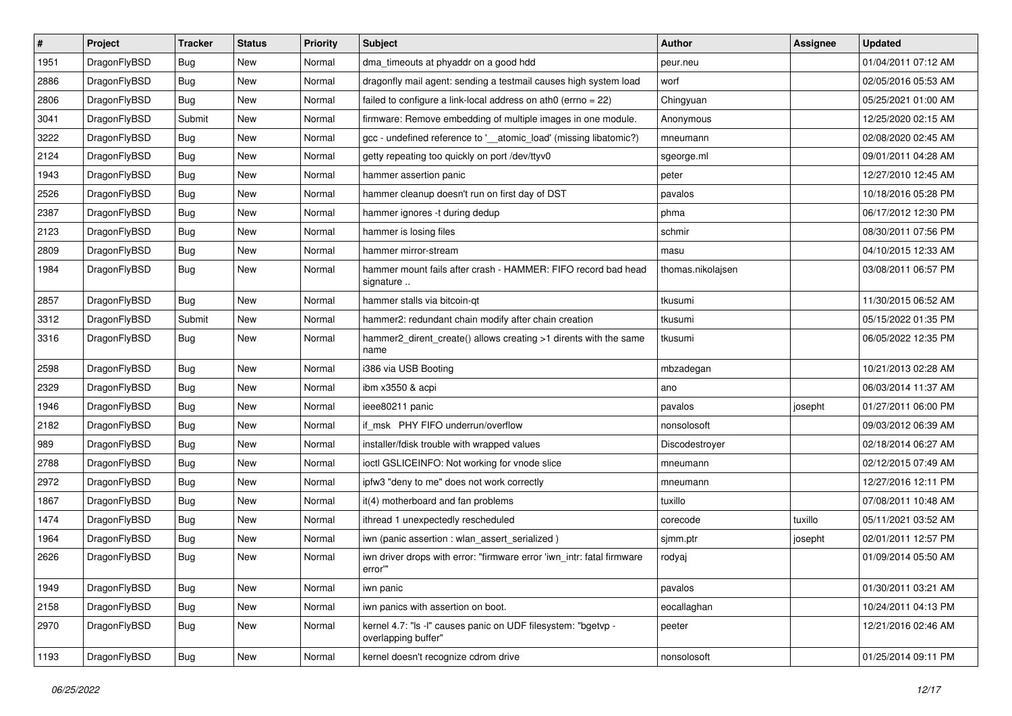| $\sharp$ | Project      | <b>Tracker</b> | <b>Status</b> | <b>Priority</b> | Subject                                                                              | <b>Author</b>     | <b>Assignee</b> | <b>Updated</b>      |
|----------|--------------|----------------|---------------|-----------------|--------------------------------------------------------------------------------------|-------------------|-----------------|---------------------|
| 1951     | DragonFlyBSD | <b>Bug</b>     | <b>New</b>    | Normal          | dma_timeouts at phyaddr on a good hdd                                                | peur.neu          |                 | 01/04/2011 07:12 AM |
| 2886     | DragonFlyBSD | Bug            | <b>New</b>    | Normal          | dragonfly mail agent: sending a testmail causes high system load                     | worf              |                 | 02/05/2016 05:53 AM |
| 2806     | DragonFlyBSD | <b>Bug</b>     | <b>New</b>    | Normal          | failed to configure a link-local address on ath0 (errno = 22)                        | Chingyuan         |                 | 05/25/2021 01:00 AM |
| 3041     | DragonFlyBSD | Submit         | New           | Normal          | firmware: Remove embedding of multiple images in one module.                         | Anonymous         |                 | 12/25/2020 02:15 AM |
| 3222     | DragonFlyBSD | Bug            | <b>New</b>    | Normal          | gcc - undefined reference to '__atomic_load' (missing libatomic?)                    | mneumann          |                 | 02/08/2020 02:45 AM |
| 2124     | DragonFlyBSD | <b>Bug</b>     | <b>New</b>    | Normal          | getty repeating too quickly on port /dev/ttyv0                                       | sgeorge.ml        |                 | 09/01/2011 04:28 AM |
| 1943     | DragonFlyBSD | <b>Bug</b>     | New           | Normal          | hammer assertion panic                                                               | peter             |                 | 12/27/2010 12:45 AM |
| 2526     | DragonFlyBSD | Bug            | New           | Normal          | hammer cleanup doesn't run on first day of DST                                       | pavalos           |                 | 10/18/2016 05:28 PM |
| 2387     | DragonFlyBSD | <b>Bug</b>     | <b>New</b>    | Normal          | hammer ignores -t during dedup                                                       | phma              |                 | 06/17/2012 12:30 PM |
| 2123     | DragonFlyBSD | Bug            | <b>New</b>    | Normal          | hammer is losing files                                                               | schmir            |                 | 08/30/2011 07:56 PM |
| 2809     | DragonFlyBSD | <b>Bug</b>     | New           | Normal          | hammer mirror-stream                                                                 | masu              |                 | 04/10/2015 12:33 AM |
| 1984     | DragonFlyBSD | Bug            | New           | Normal          | hammer mount fails after crash - HAMMER: FIFO record bad head<br>signature           | thomas.nikolajsen |                 | 03/08/2011 06:57 PM |
| 2857     | DragonFlyBSD | Bug            | <b>New</b>    | Normal          | hammer stalls via bitcoin-qt                                                         | tkusumi           |                 | 11/30/2015 06:52 AM |
| 3312     | DragonFlyBSD | Submit         | New           | Normal          | hammer2: redundant chain modify after chain creation                                 | tkusumi           |                 | 05/15/2022 01:35 PM |
| 3316     | DragonFlyBSD | Bug            | New           | Normal          | hammer2_dirent_create() allows creating >1 dirents with the same<br>name             | tkusumi           |                 | 06/05/2022 12:35 PM |
| 2598     | DragonFlyBSD | Bug            | <b>New</b>    | Normal          | i386 via USB Booting                                                                 | mbzadegan         |                 | 10/21/2013 02:28 AM |
| 2329     | DragonFlyBSD | Bug            | New           | Normal          | ibm x3550 & acpi                                                                     | ano               |                 | 06/03/2014 11:37 AM |
| 1946     | DragonFlyBSD | <b>Bug</b>     | New           | Normal          | ieee80211 panic                                                                      | pavalos           | josepht         | 01/27/2011 06:00 PM |
| 2182     | DragonFlyBSD | <b>Bug</b>     | <b>New</b>    | Normal          | if msk PHY FIFO underrun/overflow                                                    | nonsolosoft       |                 | 09/03/2012 06:39 AM |
| 989      | DragonFlyBSD | <b>Bug</b>     | <b>New</b>    | Normal          | installer/fdisk trouble with wrapped values                                          | Discodestroyer    |                 | 02/18/2014 06:27 AM |
| 2788     | DragonFlyBSD | Bug            | New           | Normal          | ioctl GSLICEINFO: Not working for vnode slice                                        | mneumann          |                 | 02/12/2015 07:49 AM |
| 2972     | DragonFlyBSD | <b>Bug</b>     | New           | Normal          | ipfw3 "deny to me" does not work correctly                                           | mneumann          |                 | 12/27/2016 12:11 PM |
| 1867     | DragonFlyBSD | <b>Bug</b>     | New           | Normal          | it(4) motherboard and fan problems                                                   | tuxillo           |                 | 07/08/2011 10:48 AM |
| 1474     | DragonFlyBSD | <b>Bug</b>     | New           | Normal          | ithread 1 unexpectedly rescheduled                                                   | corecode          | tuxillo         | 05/11/2021 03:52 AM |
| 1964     | DragonFlyBSD | <b>Bug</b>     | <b>New</b>    | Normal          | iwn (panic assertion : wlan_assert_serialized)                                       | sjmm.ptr          | josepht         | 02/01/2011 12:57 PM |
| 2626     | DragonFlyBSD | Bug            | New           | Normal          | iwn driver drops with error: "firmware error 'iwn_intr: fatal firmware<br>error""    | rodyaj            |                 | 01/09/2014 05:50 AM |
| 1949     | DragonFlyBSD | Bug            | New           | Normal          | iwn panic                                                                            | pavalos           |                 | 01/30/2011 03:21 AM |
| 2158     | DragonFlyBSD | <b>Bug</b>     | New           | Normal          | iwn panics with assertion on boot.                                                   | eocallaghan       |                 | 10/24/2011 04:13 PM |
| 2970     | DragonFlyBSD | <b>Bug</b>     | <b>New</b>    | Normal          | kernel 4.7: "Is -l" causes panic on UDF filesystem: "bgetvp -<br>overlapping buffer" | peeter            |                 | 12/21/2016 02:46 AM |
| 1193     | DragonFlyBSD | Bug            | New           | Normal          | kernel doesn't recognize cdrom drive                                                 | nonsolosoft       |                 | 01/25/2014 09:11 PM |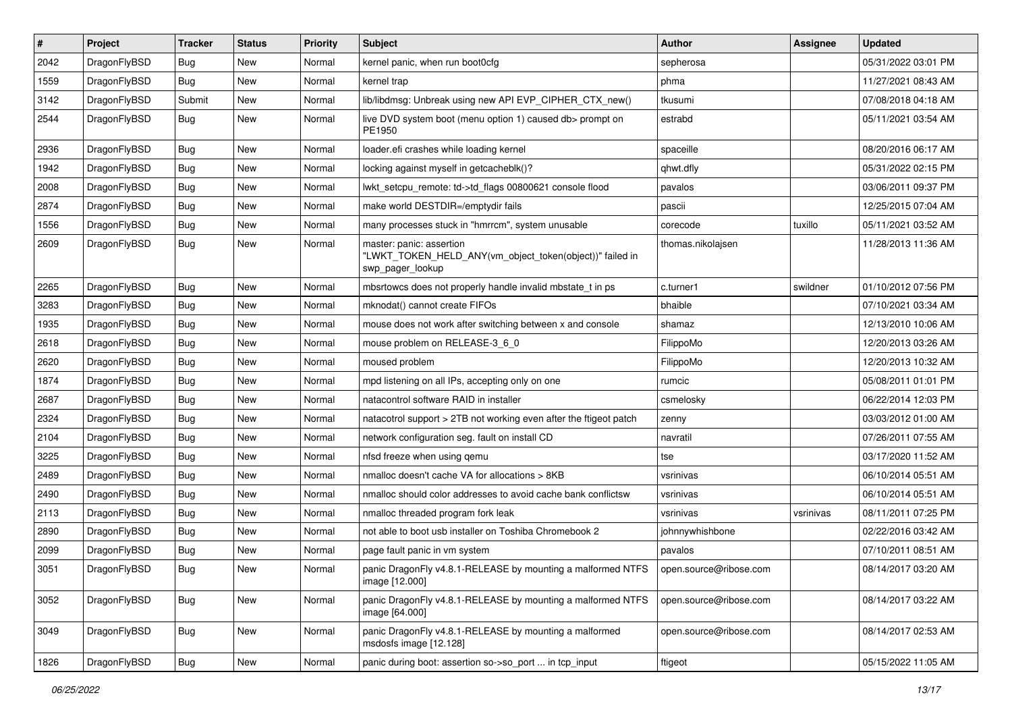| $\pmb{\#}$ | Project      | <b>Tracker</b> | <b>Status</b> | <b>Priority</b> | <b>Subject</b>                                                                                           | Author                 | <b>Assignee</b> | <b>Updated</b>      |
|------------|--------------|----------------|---------------|-----------------|----------------------------------------------------------------------------------------------------------|------------------------|-----------------|---------------------|
| 2042       | DragonFlyBSD | Bug            | <b>New</b>    | Normal          | kernel panic, when run boot0cfg                                                                          | sepherosa              |                 | 05/31/2022 03:01 PM |
| 1559       | DragonFlyBSD | Bug            | <b>New</b>    | Normal          | kernel trap                                                                                              | phma                   |                 | 11/27/2021 08:43 AM |
| 3142       | DragonFlyBSD | Submit         | <b>New</b>    | Normal          | lib/libdmsg: Unbreak using new API EVP CIPHER CTX new()                                                  | tkusumi                |                 | 07/08/2018 04:18 AM |
| 2544       | DragonFlyBSD | Bug            | <b>New</b>    | Normal          | live DVD system boot (menu option 1) caused db> prompt on<br>PE1950                                      | estrabd                |                 | 05/11/2021 03:54 AM |
| 2936       | DragonFlyBSD | <b>Bug</b>     | <b>New</b>    | Normal          | loader.efi crashes while loading kernel                                                                  | spaceille              |                 | 08/20/2016 06:17 AM |
| 1942       | DragonFlyBSD | <b>Bug</b>     | New           | Normal          | locking against myself in getcacheblk()?                                                                 | qhwt.dfly              |                 | 05/31/2022 02:15 PM |
| 2008       | DragonFlyBSD | Bug            | <b>New</b>    | Normal          | lwkt_setcpu_remote: td->td_flags 00800621 console flood                                                  | pavalos                |                 | 03/06/2011 09:37 PM |
| 2874       | DragonFlyBSD | Bug            | <b>New</b>    | Normal          | make world DESTDIR=/emptydir fails                                                                       | pascii                 |                 | 12/25/2015 07:04 AM |
| 1556       | DragonFlyBSD | Bug            | <b>New</b>    | Normal          | many processes stuck in "hmrrcm", system unusable                                                        | corecode               | tuxillo         | 05/11/2021 03:52 AM |
| 2609       | DragonFlyBSD | <b>Bug</b>     | <b>New</b>    | Normal          | master: panic: assertion<br>"LWKT_TOKEN_HELD_ANY(vm_object_token(object))" failed in<br>swp_pager_lookup | thomas.nikolajsen      |                 | 11/28/2013 11:36 AM |
| 2265       | DragonFlyBSD | <b>Bug</b>     | <b>New</b>    | Normal          | mbsrtowcs does not properly handle invalid mbstate_t in ps                                               | c.turner1              | swildner        | 01/10/2012 07:56 PM |
| 3283       | DragonFlyBSD | Bug            | <b>New</b>    | Normal          | mknodat() cannot create FIFOs                                                                            | bhaible                |                 | 07/10/2021 03:34 AM |
| 1935       | DragonFlyBSD | Bug            | New           | Normal          | mouse does not work after switching between x and console                                                | shamaz                 |                 | 12/13/2010 10:06 AM |
| 2618       | DragonFlyBSD | Bug            | <b>New</b>    | Normal          | mouse problem on RELEASE-3 6 0                                                                           | FilippoMo              |                 | 12/20/2013 03:26 AM |
| 2620       | DragonFlyBSD | <b>Bug</b>     | <b>New</b>    | Normal          | moused problem                                                                                           | FilippoMo              |                 | 12/20/2013 10:32 AM |
| 1874       | DragonFlyBSD | <b>Bug</b>     | <b>New</b>    | Normal          | mpd listening on all IPs, accepting only on one                                                          | rumcic                 |                 | 05/08/2011 01:01 PM |
| 2687       | DragonFlyBSD | Bug            | <b>New</b>    | Normal          | natacontrol software RAID in installer                                                                   | csmelosky              |                 | 06/22/2014 12:03 PM |
| 2324       | DragonFlyBSD | Bug            | New           | Normal          | natacotrol support > 2TB not working even after the ftigeot patch                                        | zenny                  |                 | 03/03/2012 01:00 AM |
| 2104       | DragonFlyBSD | Bug            | <b>New</b>    | Normal          | network configuration seg. fault on install CD                                                           | navratil               |                 | 07/26/2011 07:55 AM |
| 3225       | DragonFlyBSD | Bug            | <b>New</b>    | Normal          | nfsd freeze when using qemu                                                                              | tse                    |                 | 03/17/2020 11:52 AM |
| 2489       | DragonFlyBSD | <b>Bug</b>     | <b>New</b>    | Normal          | nmalloc doesn't cache VA for allocations > 8KB                                                           | vsrinivas              |                 | 06/10/2014 05:51 AM |
| 2490       | DragonFlyBSD | Bug            | New           | Normal          | nmalloc should color addresses to avoid cache bank conflictsw                                            | vsrinivas              |                 | 06/10/2014 05:51 AM |
| 2113       | DragonFlyBSD | Bug            | <b>New</b>    | Normal          | nmalloc threaded program fork leak                                                                       | vsrinivas              | vsrinivas       | 08/11/2011 07:25 PM |
| 2890       | DragonFlyBSD | Bug            | New           | Normal          | not able to boot usb installer on Toshiba Chromebook 2                                                   | johnnywhishbone        |                 | 02/22/2016 03:42 AM |
| 2099       | DragonFlyBSD | Bug            | <b>New</b>    | Normal          | page fault panic in vm system                                                                            | pavalos                |                 | 07/10/2011 08:51 AM |
| 3051       | DragonFlyBSD | Bug            | <b>New</b>    | Normal          | panic DragonFly v4.8.1-RELEASE by mounting a malformed NTFS<br>image [12.000]                            | open.source@ribose.com |                 | 08/14/2017 03:20 AM |
| 3052       | DragonFlyBSD | <b>Bug</b>     | New           | Normal          | panic DragonFly v4.8.1-RELEASE by mounting a malformed NTFS<br>image [64.000]                            | open.source@ribose.com |                 | 08/14/2017 03:22 AM |
| 3049       | DragonFlyBSD | <b>Bug</b>     | New           | Normal          | panic DragonFly v4.8.1-RELEASE by mounting a malformed<br>msdosfs image [12.128]                         | open.source@ribose.com |                 | 08/14/2017 02:53 AM |
| 1826       | DragonFlyBSD | <b>Bug</b>     | New           | Normal          | panic during boot: assertion so->so port  in tcp input                                                   | ftigeot                |                 | 05/15/2022 11:05 AM |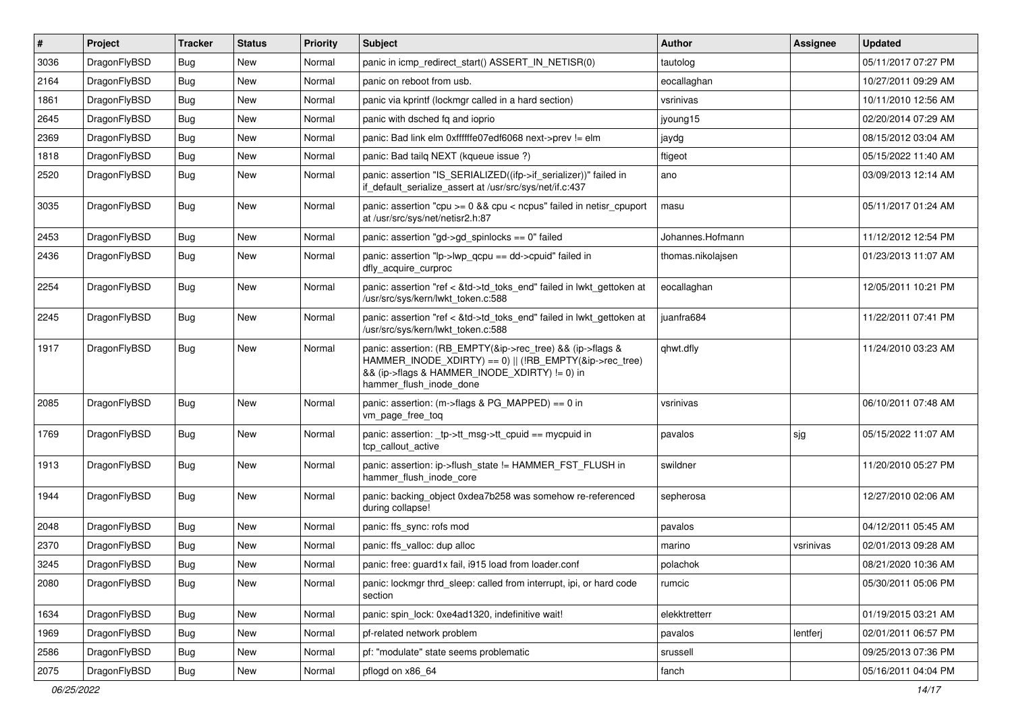| $\vert$ # | Project      | <b>Tracker</b> | <b>Status</b> | <b>Priority</b> | <b>Subject</b>                                                                                                                                                                                    | <b>Author</b>     | <b>Assignee</b> | <b>Updated</b>      |
|-----------|--------------|----------------|---------------|-----------------|---------------------------------------------------------------------------------------------------------------------------------------------------------------------------------------------------|-------------------|-----------------|---------------------|
| 3036      | DragonFlyBSD | Bug            | <b>New</b>    | Normal          | panic in icmp redirect start() ASSERT IN NETISR(0)                                                                                                                                                | tautolog          |                 | 05/11/2017 07:27 PM |
| 2164      | DragonFlyBSD | Bug            | <b>New</b>    | Normal          | panic on reboot from usb.                                                                                                                                                                         | eocallaghan       |                 | 10/27/2011 09:29 AM |
| 1861      | DragonFlyBSD | Bug            | New           | Normal          | panic via kprintf (lockmgr called in a hard section)                                                                                                                                              | vsrinivas         |                 | 10/11/2010 12:56 AM |
| 2645      | DragonFlyBSD | Bug            | <b>New</b>    | Normal          | panic with dsched fq and ioprio                                                                                                                                                                   | jyoung15          |                 | 02/20/2014 07:29 AM |
| 2369      | DragonFlyBSD | Bug            | <b>New</b>    | Normal          | panic: Bad link elm 0xffffffe07edf6068 next->prev != elm                                                                                                                                          | jaydg             |                 | 08/15/2012 03:04 AM |
| 1818      | DragonFlyBSD | Bug            | New           | Normal          | panic: Bad tailg NEXT (kgueue issue ?)                                                                                                                                                            | ftigeot           |                 | 05/15/2022 11:40 AM |
| 2520      | DragonFlyBSD | Bug            | <b>New</b>    | Normal          | panic: assertion "IS_SERIALIZED((ifp->if_serializer))" failed in<br>if default serialize assert at /usr/src/sys/net/if.c:437                                                                      | ano               |                 | 03/09/2013 12:14 AM |
| 3035      | DragonFlyBSD | Bug            | <b>New</b>    | Normal          | panic: assertion "cpu $>= 0$ && cpu < ncpus" failed in netisr cpuport<br>at /usr/src/sys/net/netisr2.h:87                                                                                         | masu              |                 | 05/11/2017 01:24 AM |
| 2453      | DragonFlyBSD | Bug            | <b>New</b>    | Normal          | panic: assertion "gd->gd spinlocks == $0$ " failed                                                                                                                                                | Johannes.Hofmann  |                 | 11/12/2012 12:54 PM |
| 2436      | DragonFlyBSD | Bug            | New           | Normal          | panic: assertion "lp->lwp_qcpu == dd->cpuid" failed in<br>dfly_acquire_curproc                                                                                                                    | thomas.nikolajsen |                 | 01/23/2013 11:07 AM |
| 2254      | DragonFlyBSD | Bug            | New           | Normal          | panic: assertion "ref < &td->td_toks_end" failed in lwkt_gettoken at<br>/usr/src/sys/kern/lwkt_token.c:588                                                                                        | eocallaghan       |                 | 12/05/2011 10:21 PM |
| 2245      | DragonFlyBSD | <b>Bug</b>     | New           | Normal          | panic: assertion "ref < &td->td_toks_end" failed in lwkt_gettoken at<br>/usr/src/sys/kern/lwkt_token.c:588                                                                                        | juanfra684        |                 | 11/22/2011 07:41 PM |
| 1917      | DragonFlyBSD | <b>Bug</b>     | New           | Normal          | panic: assertion: (RB_EMPTY(&ip->rec_tree) && (ip->flags &<br>HAMMER INODE XDIRTY) == 0)    (!RB EMPTY(&ip->rec tree)<br>&& (ip->flags & HAMMER_INODE_XDIRTY) != 0) in<br>hammer_flush_inode_done | qhwt.dfly         |                 | 11/24/2010 03:23 AM |
| 2085      | DragonFlyBSD | Bug            | New           | Normal          | panic: assertion: (m->flags & PG_MAPPED) == 0 in<br>vm_page_free_toq                                                                                                                              | vsrinivas         |                 | 06/10/2011 07:48 AM |
| 1769      | DragonFlyBSD | Bug            | New           | Normal          | panic: assertion: _tp->tt_msg->tt_cpuid == mycpuid in<br>tcp callout active                                                                                                                       | pavalos           | sjg             | 05/15/2022 11:07 AM |
| 1913      | DragonFlyBSD | Bug            | <b>New</b>    | Normal          | panic: assertion: ip->flush_state != HAMMER_FST_FLUSH in<br>hammer flush inode core                                                                                                               | swildner          |                 | 11/20/2010 05:27 PM |
| 1944      | DragonFlyBSD | Bug            | <b>New</b>    | Normal          | panic: backing object 0xdea7b258 was somehow re-referenced<br>during collapse!                                                                                                                    | sepherosa         |                 | 12/27/2010 02:06 AM |
| 2048      | DragonFlyBSD | Bug            | New           | Normal          | panic: ffs_sync: rofs mod                                                                                                                                                                         | pavalos           |                 | 04/12/2011 05:45 AM |
| 2370      | DragonFlyBSD | <b>Bug</b>     | New           | Normal          | panic: ffs valloc: dup alloc                                                                                                                                                                      | marino            | vsrinivas       | 02/01/2013 09:28 AM |
| 3245      | DragonFlyBSD | <b>Bug</b>     | New           | Normal          | panic: free: guard1x fail, i915 load from loader.conf                                                                                                                                             | polachok          |                 | 08/21/2020 10:36 AM |
| 2080      | DragonFlyBSD | Bug            | New           | Normal          | panic: lockmgr thrd_sleep: called from interrupt, ipi, or hard code<br>section                                                                                                                    | rumcic            |                 | 05/30/2011 05:06 PM |
| 1634      | DragonFlyBSD | Bug            | New           | Normal          | panic: spin_lock: 0xe4ad1320, indefinitive wait!                                                                                                                                                  | elekktretterr     |                 | 01/19/2015 03:21 AM |
| 1969      | DragonFlyBSD | <b>Bug</b>     | New           | Normal          | pf-related network problem                                                                                                                                                                        | pavalos           | lentferj        | 02/01/2011 06:57 PM |
| 2586      | DragonFlyBSD | Bug            | New           | Normal          | pf: "modulate" state seems problematic                                                                                                                                                            | srussell          |                 | 09/25/2013 07:36 PM |
| 2075      | DragonFlyBSD | <b>Bug</b>     | New           | Normal          | pflogd on x86_64                                                                                                                                                                                  | fanch             |                 | 05/16/2011 04:04 PM |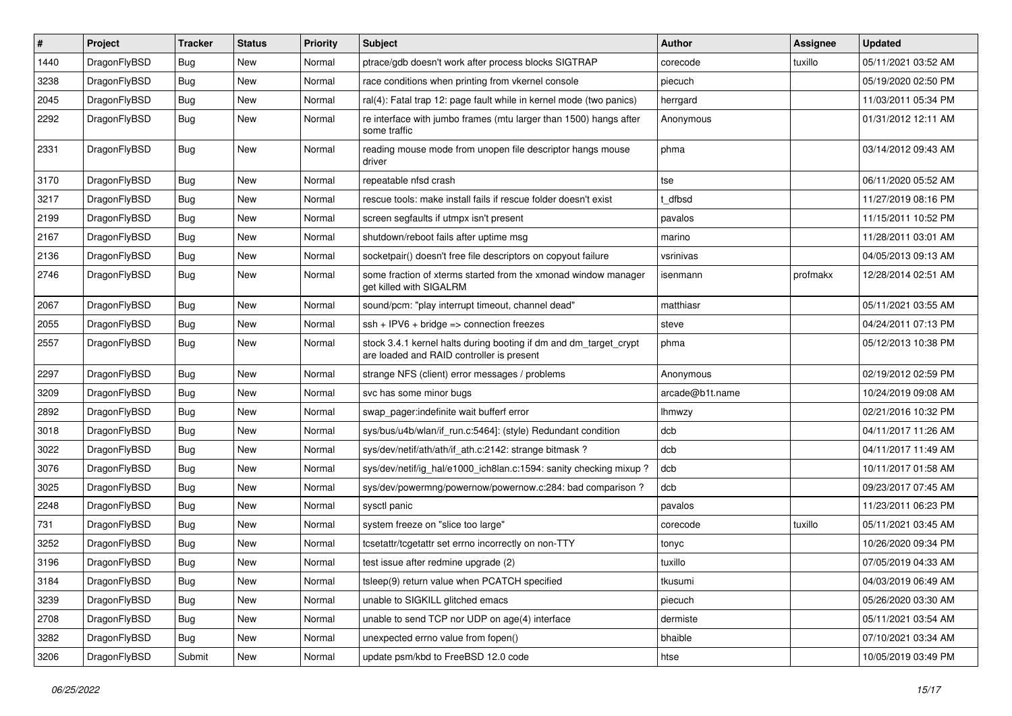| $\sharp$ | Project      | <b>Tracker</b> | <b>Status</b> | <b>Priority</b> | Subject                                                                                                        | <b>Author</b>   | <b>Assignee</b> | <b>Updated</b>      |
|----------|--------------|----------------|---------------|-----------------|----------------------------------------------------------------------------------------------------------------|-----------------|-----------------|---------------------|
| 1440     | DragonFlyBSD | <b>Bug</b>     | New           | Normal          | ptrace/gdb doesn't work after process blocks SIGTRAP                                                           | corecode        | tuxillo         | 05/11/2021 03:52 AM |
| 3238     | DragonFlyBSD | <b>Bug</b>     | <b>New</b>    | Normal          | race conditions when printing from vkernel console                                                             | piecuch         |                 | 05/19/2020 02:50 PM |
| 2045     | DragonFlyBSD | <b>Bug</b>     | New           | Normal          | ral(4): Fatal trap 12: page fault while in kernel mode (two panics)                                            | herrgard        |                 | 11/03/2011 05:34 PM |
| 2292     | DragonFlyBSD | Bug            | <b>New</b>    | Normal          | re interface with jumbo frames (mtu larger than 1500) hangs after<br>some traffic                              | Anonymous       |                 | 01/31/2012 12:11 AM |
| 2331     | DragonFlyBSD | Bug            | <b>New</b>    | Normal          | reading mouse mode from unopen file descriptor hangs mouse<br>driver                                           | phma            |                 | 03/14/2012 09:43 AM |
| 3170     | DragonFlyBSD | Bug            | <b>New</b>    | Normal          | repeatable nfsd crash                                                                                          | tse             |                 | 06/11/2020 05:52 AM |
| 3217     | DragonFlyBSD | <b>Bug</b>     | <b>New</b>    | Normal          | rescue tools: make install fails if rescue folder doesn't exist                                                | dfbsd           |                 | 11/27/2019 08:16 PM |
| 2199     | DragonFlyBSD | Bug            | <b>New</b>    | Normal          | screen segfaults if utmpx isn't present                                                                        | pavalos         |                 | 11/15/2011 10:52 PM |
| 2167     | DragonFlyBSD | <b>Bug</b>     | New           | Normal          | shutdown/reboot fails after uptime msg                                                                         | marino          |                 | 11/28/2011 03:01 AM |
| 2136     | DragonFlyBSD | <b>Bug</b>     | <b>New</b>    | Normal          | socketpair() doesn't free file descriptors on copyout failure                                                  | vsrinivas       |                 | 04/05/2013 09:13 AM |
| 2746     | DragonFlyBSD | Bug            | New           | Normal          | some fraction of xterms started from the xmonad window manager<br>get killed with SIGALRM                      | isenmann        | profmakx        | 12/28/2014 02:51 AM |
| 2067     | DragonFlyBSD | Bug            | <b>New</b>    | Normal          | sound/pcm: "play interrupt timeout, channel dead"                                                              | matthiasr       |                 | 05/11/2021 03:55 AM |
| 2055     | DragonFlyBSD | Bug            | <b>New</b>    | Normal          | $ssh + IPV6 + bridge \Rightarrow connection freezes$                                                           | steve           |                 | 04/24/2011 07:13 PM |
| 2557     | DragonFlyBSD | <b>Bug</b>     | New           | Normal          | stock 3.4.1 kernel halts during booting if dm and dm_target_crypt<br>are loaded and RAID controller is present | phma            |                 | 05/12/2013 10:38 PM |
| 2297     | DragonFlyBSD | Bug            | <b>New</b>    | Normal          | strange NFS (client) error messages / problems                                                                 | Anonymous       |                 | 02/19/2012 02:59 PM |
| 3209     | DragonFlyBSD | <b>Bug</b>     | <b>New</b>    | Normal          | svc has some minor bugs                                                                                        | arcade@b1t.name |                 | 10/24/2019 09:08 AM |
| 2892     | DragonFlyBSD | <b>Bug</b>     | <b>New</b>    | Normal          | swap_pager:indefinite wait bufferf error                                                                       | lhmwzy          |                 | 02/21/2016 10:32 PM |
| 3018     | DragonFlyBSD | <b>Bug</b>     | New           | Normal          | sys/bus/u4b/wlan/if_run.c:5464]: (style) Redundant condition                                                   | dcb             |                 | 04/11/2017 11:26 AM |
| 3022     | DragonFlyBSD | Bug            | <b>New</b>    | Normal          | sys/dev/netif/ath/ath/if_ath.c:2142: strange bitmask?                                                          | dcb             |                 | 04/11/2017 11:49 AM |
| 3076     | DragonFlyBSD | <b>Bug</b>     | <b>New</b>    | Normal          | sys/dev/netif/ig_hal/e1000_ich8lan.c:1594: sanity checking mixup?                                              | dcb             |                 | 10/11/2017 01:58 AM |
| 3025     | DragonFlyBSD | <b>Bug</b>     | <b>New</b>    | Normal          | sys/dev/powermng/powernow/powernow.c:284: bad comparison?                                                      | dcb             |                 | 09/23/2017 07:45 AM |
| 2248     | DragonFlyBSD | <b>Bug</b>     | New           | Normal          | sysctl panic                                                                                                   | pavalos         |                 | 11/23/2011 06:23 PM |
| 731      | DragonFlyBSD | <b>Bug</b>     | <b>New</b>    | Normal          | system freeze on "slice too large"                                                                             | corecode        | tuxillo         | 05/11/2021 03:45 AM |
| 3252     | DragonFlyBSD | <b>Bug</b>     | New           | Normal          | tcsetattr/tcgetattr set errno incorrectly on non-TTY                                                           | tonyc           |                 | 10/26/2020 09:34 PM |
| 3196     | DragonFlyBSD | <b>Bug</b>     | <b>New</b>    | Normal          | test issue after redmine upgrade (2)                                                                           | tuxillo         |                 | 07/05/2019 04:33 AM |
| 3184     | DragonFlyBSD | <b>Bug</b>     | New           | Normal          | tsleep(9) return value when PCATCH specified                                                                   | tkusumi         |                 | 04/03/2019 06:49 AM |
| 3239     | DragonFlyBSD | <b>Bug</b>     | New           | Normal          | unable to SIGKILL glitched emacs                                                                               | piecuch         |                 | 05/26/2020 03:30 AM |
| 2708     | DragonFlyBSD | <b>Bug</b>     | New           | Normal          | unable to send TCP nor UDP on age(4) interface                                                                 | dermiste        |                 | 05/11/2021 03:54 AM |
| 3282     | DragonFlyBSD | <b>Bug</b>     | New           | Normal          | unexpected errno value from fopen()                                                                            | bhaible         |                 | 07/10/2021 03:34 AM |
| 3206     | DragonFlyBSD | Submit         | New           | Normal          | update psm/kbd to FreeBSD 12.0 code                                                                            | htse            |                 | 10/05/2019 03:49 PM |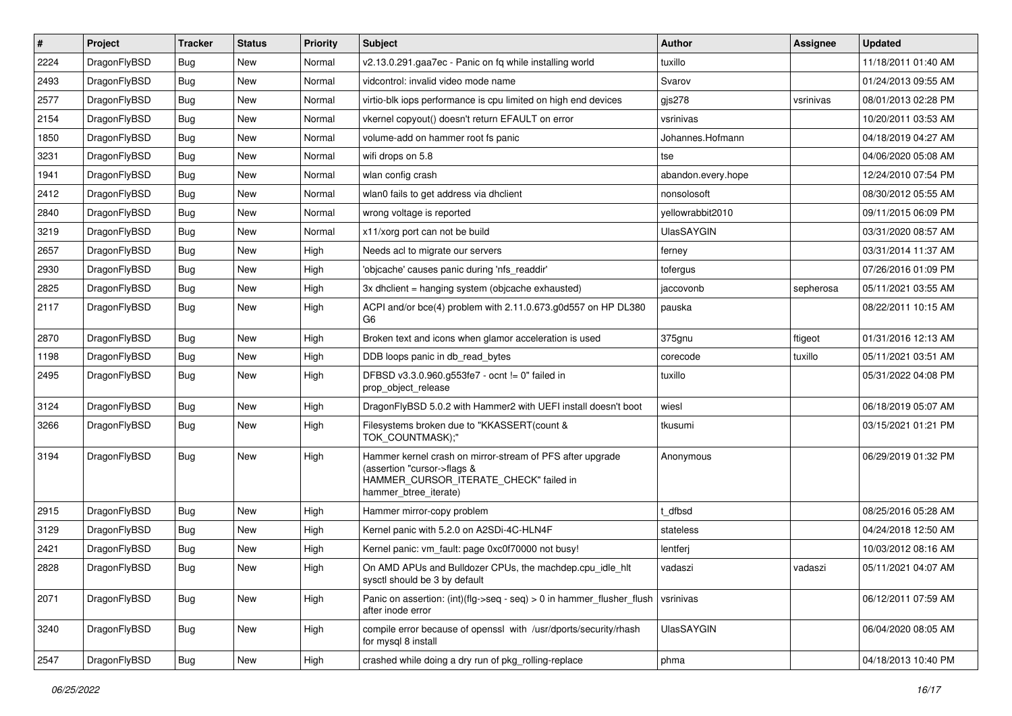| $\sharp$ | Project      | <b>Tracker</b> | <b>Status</b> | <b>Priority</b> | Subject                                                                                                                                                     | <b>Author</b>      | Assignee  | <b>Updated</b>      |
|----------|--------------|----------------|---------------|-----------------|-------------------------------------------------------------------------------------------------------------------------------------------------------------|--------------------|-----------|---------------------|
| 2224     | DragonFlyBSD | Bug            | <b>New</b>    | Normal          | v2.13.0.291.gaa7ec - Panic on fq while installing world                                                                                                     | tuxillo            |           | 11/18/2011 01:40 AM |
| 2493     | DragonFlyBSD | Bug            | <b>New</b>    | Normal          | vidcontrol: invalid video mode name                                                                                                                         | Svarov             |           | 01/24/2013 09:55 AM |
| 2577     | DragonFlyBSD | Bug            | New           | Normal          | virtio-blk iops performance is cpu limited on high end devices                                                                                              | $g$ js278          | vsrinivas | 08/01/2013 02:28 PM |
| 2154     | DragonFlyBSD | Bug            | <b>New</b>    | Normal          | vkernel copyout() doesn't return EFAULT on error                                                                                                            | vsrinivas          |           | 10/20/2011 03:53 AM |
| 1850     | DragonFlyBSD | Bug            | <b>New</b>    | Normal          | volume-add on hammer root fs panic                                                                                                                          | Johannes.Hofmann   |           | 04/18/2019 04:27 AM |
| 3231     | DragonFlyBSD | Bug            | <b>New</b>    | Normal          | wifi drops on 5.8                                                                                                                                           | tse                |           | 04/06/2020 05:08 AM |
| 1941     | DragonFlyBSD | Bug            | New           | Normal          | wlan config crash                                                                                                                                           | abandon.every.hope |           | 12/24/2010 07:54 PM |
| 2412     | DragonFlyBSD | Bug            | <b>New</b>    | Normal          | wlan0 fails to get address via dholient                                                                                                                     | nonsolosoft        |           | 08/30/2012 05:55 AM |
| 2840     | DragonFlyBSD | Bug            | <b>New</b>    | Normal          | wrong voltage is reported                                                                                                                                   | yellowrabbit2010   |           | 09/11/2015 06:09 PM |
| 3219     | DragonFlyBSD | Bug            | <b>New</b>    | Normal          | x11/xorg port can not be build                                                                                                                              | <b>UlasSAYGIN</b>  |           | 03/31/2020 08:57 AM |
| 2657     | DragonFlyBSD | Bug            | New           | High            | Needs acl to migrate our servers                                                                                                                            | ferney             |           | 03/31/2014 11:37 AM |
| 2930     | DragonFlyBSD | Bug            | New           | High            | 'objcache' causes panic during 'nfs_readdir'                                                                                                                | tofergus           |           | 07/26/2016 01:09 PM |
| 2825     | DragonFlyBSD | Bug            | <b>New</b>    | High            | 3x dhclient = hanging system (objcache exhausted)                                                                                                           | jaccovonb          | sepherosa | 05/11/2021 03:55 AM |
| 2117     | DragonFlyBSD | Bug            | New           | High            | ACPI and/or bce(4) problem with 2.11.0.673.g0d557 on HP DL380<br>G <sub>6</sub>                                                                             | pauska             |           | 08/22/2011 10:15 AM |
| 2870     | DragonFlyBSD | Bug            | New           | High            | Broken text and icons when glamor acceleration is used                                                                                                      | 375gnu             | ftigeot   | 01/31/2016 12:13 AM |
| 1198     | DragonFlyBSD | Bug            | New           | High            | DDB loops panic in db read bytes                                                                                                                            | corecode           | tuxillo   | 05/11/2021 03:51 AM |
| 2495     | DragonFlyBSD | Bug            | <b>New</b>    | High            | DFBSD v3.3.0.960.g553fe7 - ocnt != 0" failed in<br>prop_object_release                                                                                      | tuxillo            |           | 05/31/2022 04:08 PM |
| 3124     | DragonFlyBSD | Bug            | <b>New</b>    | High            | DragonFlyBSD 5.0.2 with Hammer2 with UEFI install doesn't boot                                                                                              | wiesl              |           | 06/18/2019 05:07 AM |
| 3266     | DragonFlyBSD | Bug            | New           | High            | Filesystems broken due to "KKASSERT(count &<br>TOK_COUNTMASK);"                                                                                             | tkusumi            |           | 03/15/2021 01:21 PM |
| 3194     | DragonFlyBSD | Bug            | <b>New</b>    | High            | Hammer kernel crash on mirror-stream of PFS after upgrade<br>(assertion "cursor->flags &<br>HAMMER_CURSOR_ITERATE_CHECK" failed in<br>hammer_btree_iterate) | Anonymous          |           | 06/29/2019 01:32 PM |
| 2915     | DragonFlyBSD | Bug            | New           | High            | Hammer mirror-copy problem                                                                                                                                  | : dfbsd            |           | 08/25/2016 05:28 AM |
| 3129     | DragonFlyBSD | <b>Bug</b>     | New           | High            | Kernel panic with 5.2.0 on A2SDi-4C-HLN4F                                                                                                                   | stateless          |           | 04/24/2018 12:50 AM |
| 2421     | DragonFlyBSD | Bug            | New           | High            | Kernel panic: vm_fault: page 0xc0f70000 not busy!                                                                                                           | lentferj           |           | 10/03/2012 08:16 AM |
| 2828     | DragonFlyBSD | Bug            | <b>New</b>    | High            | On AMD APUs and Bulldozer CPUs, the machdep.cpu_idle_hlt<br>sysctl should be 3 by default                                                                   | vadaszi            | vadaszi   | 05/11/2021 04:07 AM |
| 2071     | DragonFlyBSD | <b>Bug</b>     | New           | High            | Panic on assertion: (int)(flg->seq - seq) > 0 in hammer_flusher_flush<br>after inode error                                                                  | vsrinivas          |           | 06/12/2011 07:59 AM |
| 3240     | DragonFlyBSD | <b>Bug</b>     | <b>New</b>    | High            | compile error because of openssl with /usr/dports/security/rhash<br>for mysql 8 install                                                                     | <b>UlasSAYGIN</b>  |           | 06/04/2020 08:05 AM |
| 2547     | DragonFlyBSD | <b>Bug</b>     | New           | High            | crashed while doing a dry run of pkg_rolling-replace                                                                                                        | phma               |           | 04/18/2013 10:40 PM |